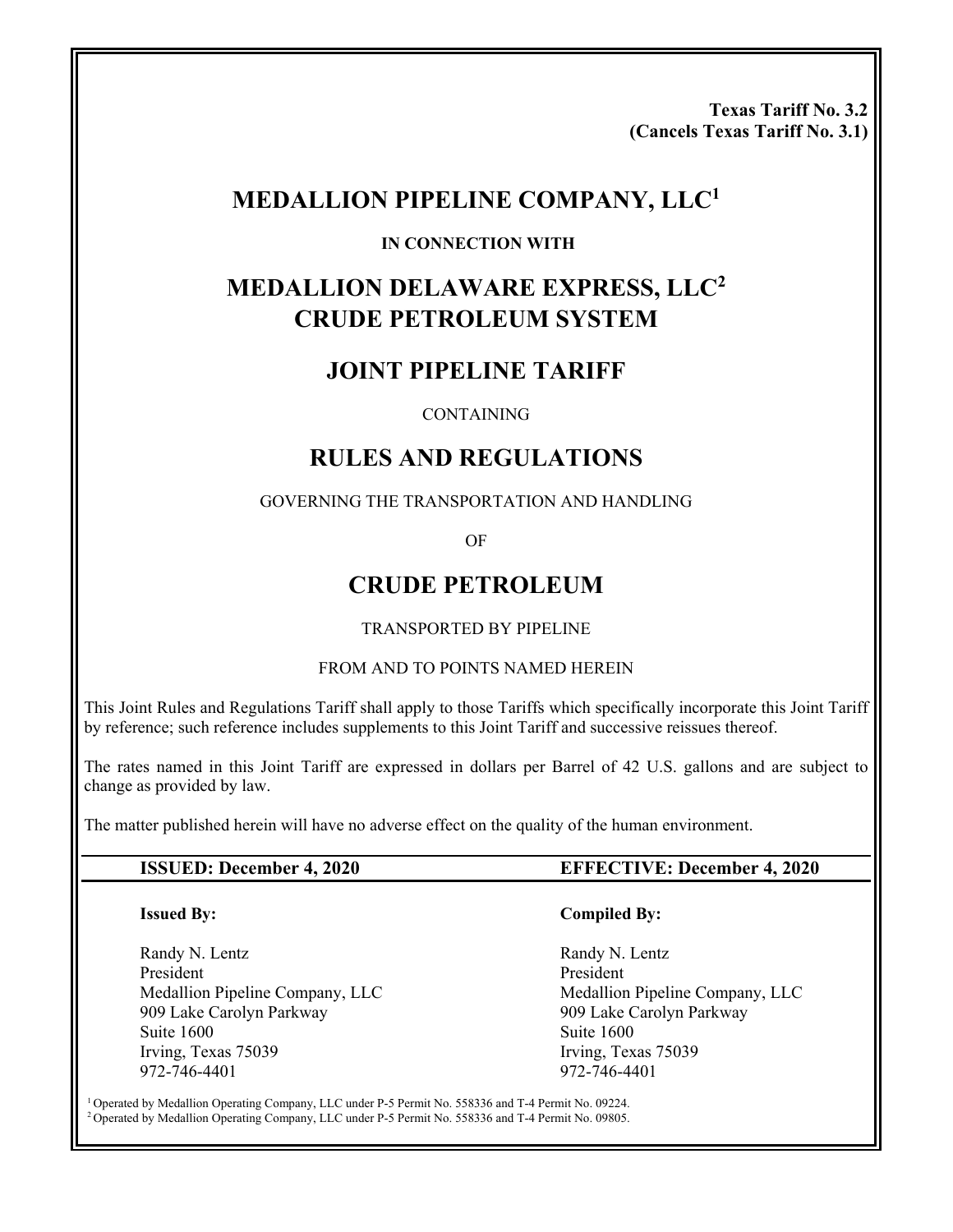**Texas Tariff No. 3.2 (Cancels Texas Tariff No. 3.1)** 

## **MEDALLION PIPELINE COMPANY, LLC1**

#### **IN CONNECTION WITH**

# **MEDALLION DELAWARE EXPRESS, LLC2 CRUDE PETROLEUM SYSTEM**

## **JOINT PIPELINE TARIFF**

#### **CONTAINING**

## **RULES AND REGULATIONS**

#### GOVERNING THE TRANSPORTATION AND HANDLING

OF

## **CRUDE PETROLEUM**

#### TRANSPORTED BY PIPELINE

#### FROM AND TO POINTS NAMED HEREIN

This Joint Rules and Regulations Tariff shall apply to those Tariffs which specifically incorporate this Joint Tariff by reference; such reference includes supplements to this Joint Tariff and successive reissues thereof.

The rates named in this Joint Tariff are expressed in dollars per Barrel of 42 U.S. gallons and are subject to change as provided by law.

The matter published herein will have no adverse effect on the quality of the human environment.

#### **Issued By:**

Randy N. Lentz President Medallion Pipeline Company, LLC 909 Lake Carolyn Parkway Suite 1600 Irving, Texas 75039 972-746-4401

#### **ISSUED: December 4, 2020 EFFECTIVE: December 4, 2020**

#### **Compiled By:**

 Randy N. Lentz President Medallion Pipeline Company, LLC 909 Lake Carolyn Parkway Suite 1600 Irving, Texas 75039 972-746-4401

1 Operated by Medallion Operating Company, LLC under P-5 Permit No. 558336 and T-4 Permit No. 09224. 2 Operated by Medallion Operating Company, LLC under P-5 Permit No. 558336 and T-4 Permit No. 09805.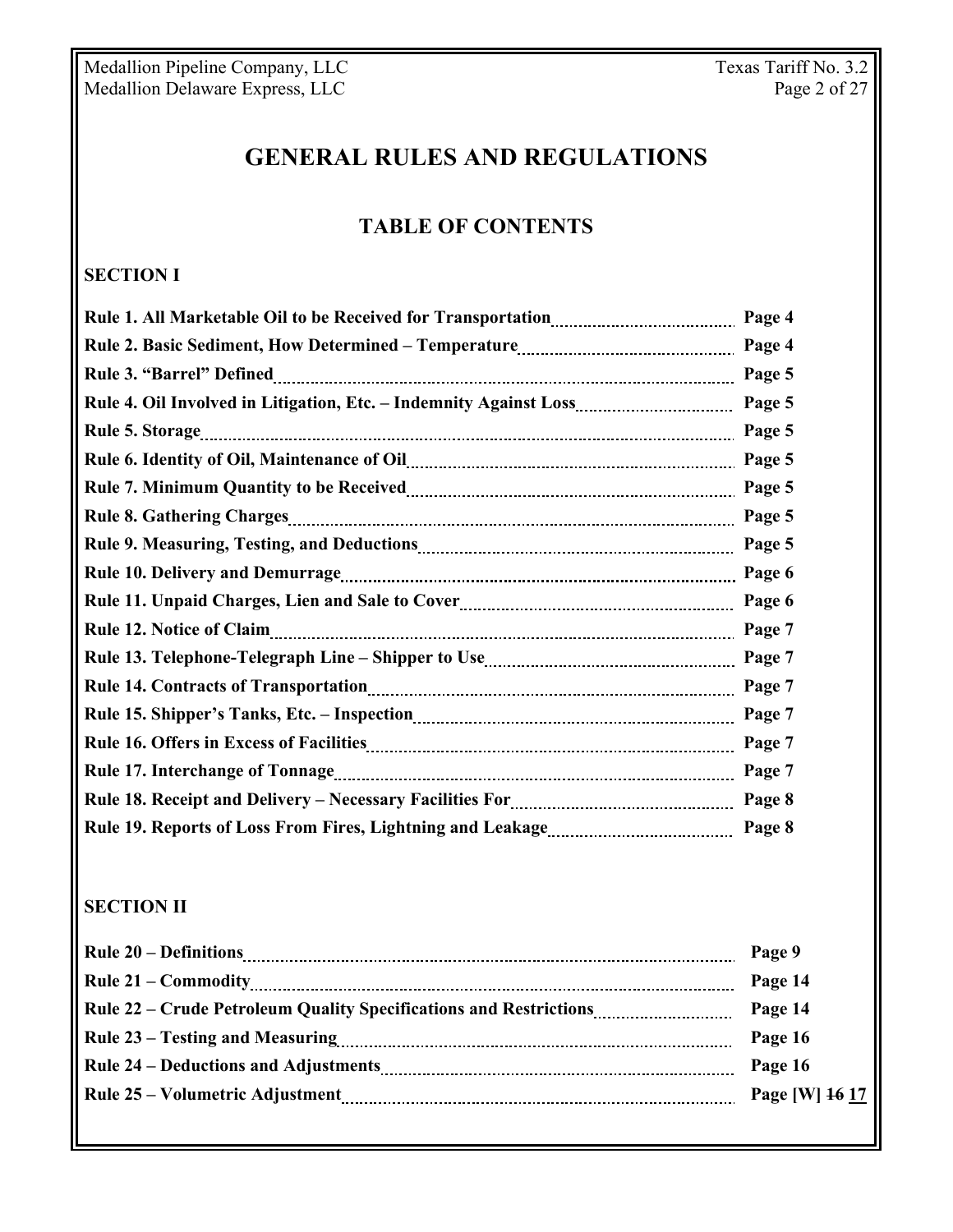# **GENERAL RULES AND REGULATIONS**

## **TABLE OF CONTENTS**

## **SECTION I**

| Page 4 |
|--------|
| Page 4 |
| Page 5 |
| Page 5 |
| Page 5 |
| Page 5 |
| Page 5 |
| Page 5 |
| Page 5 |
| Page 6 |
| Page 6 |
| Page 7 |
| Page 7 |
| Page 7 |
| Page 7 |
| Page 7 |
| Page 7 |
| Page 8 |
| Page 8 |

## **SECTION II**

|                                                                   | Page 9         |
|-------------------------------------------------------------------|----------------|
|                                                                   | Page 14        |
| Rule 22 – Crude Petroleum Quality Specifications and Restrictions | Page 14        |
|                                                                   | Page 16        |
|                                                                   | Page 16        |
|                                                                   | Page [W] 16 17 |
|                                                                   |                |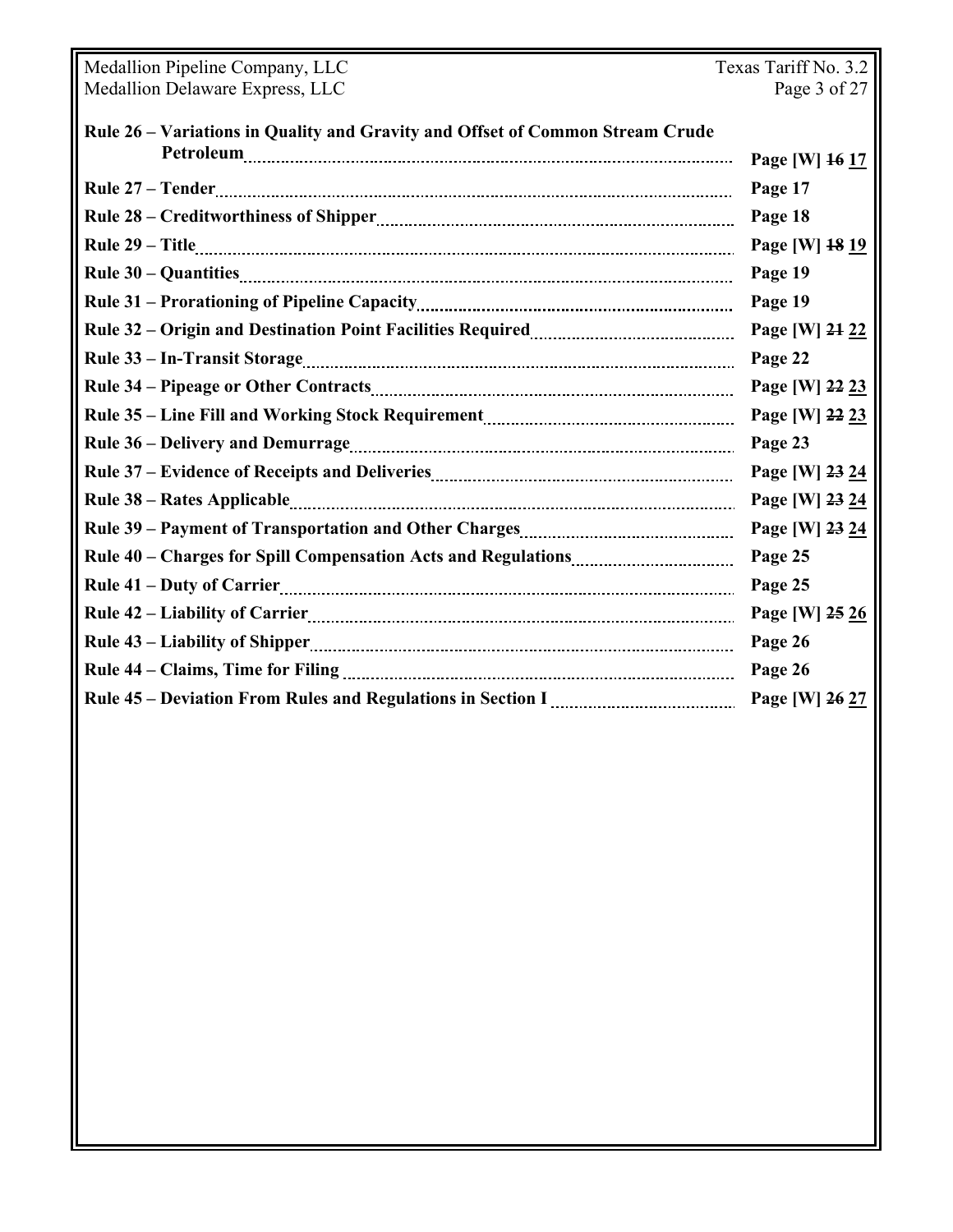| Medallion Pipeline Company, LLC                                               | Texas Tariff No. 3.2 |  |
|-------------------------------------------------------------------------------|----------------------|--|
| Medallion Delaware Express, LLC                                               | Page 3 of 27         |  |
| Rule 26 - Variations in Quality and Gravity and Offset of Common Stream Crude |                      |  |
|                                                                               | Page [W] 16 17       |  |
|                                                                               | Page 17              |  |
|                                                                               | Page 18              |  |
|                                                                               | Page [W] 18 19       |  |
|                                                                               | Page 19              |  |
|                                                                               | Page 19              |  |
|                                                                               | Page [W] 24 22       |  |
|                                                                               | Page 22              |  |
|                                                                               | Page [W] 22 23       |  |
|                                                                               | Page [W] 22 23       |  |
|                                                                               | Page 23              |  |
|                                                                               | Page [W] 23 24       |  |
|                                                                               | Page [W] 23 24       |  |
|                                                                               | Page [W] 23 24       |  |
|                                                                               | Page 25              |  |
|                                                                               | Page 25              |  |
|                                                                               | Page [W] 25 26       |  |
|                                                                               | Page 26              |  |
|                                                                               | Page 26              |  |
|                                                                               | Page [W] 26 27       |  |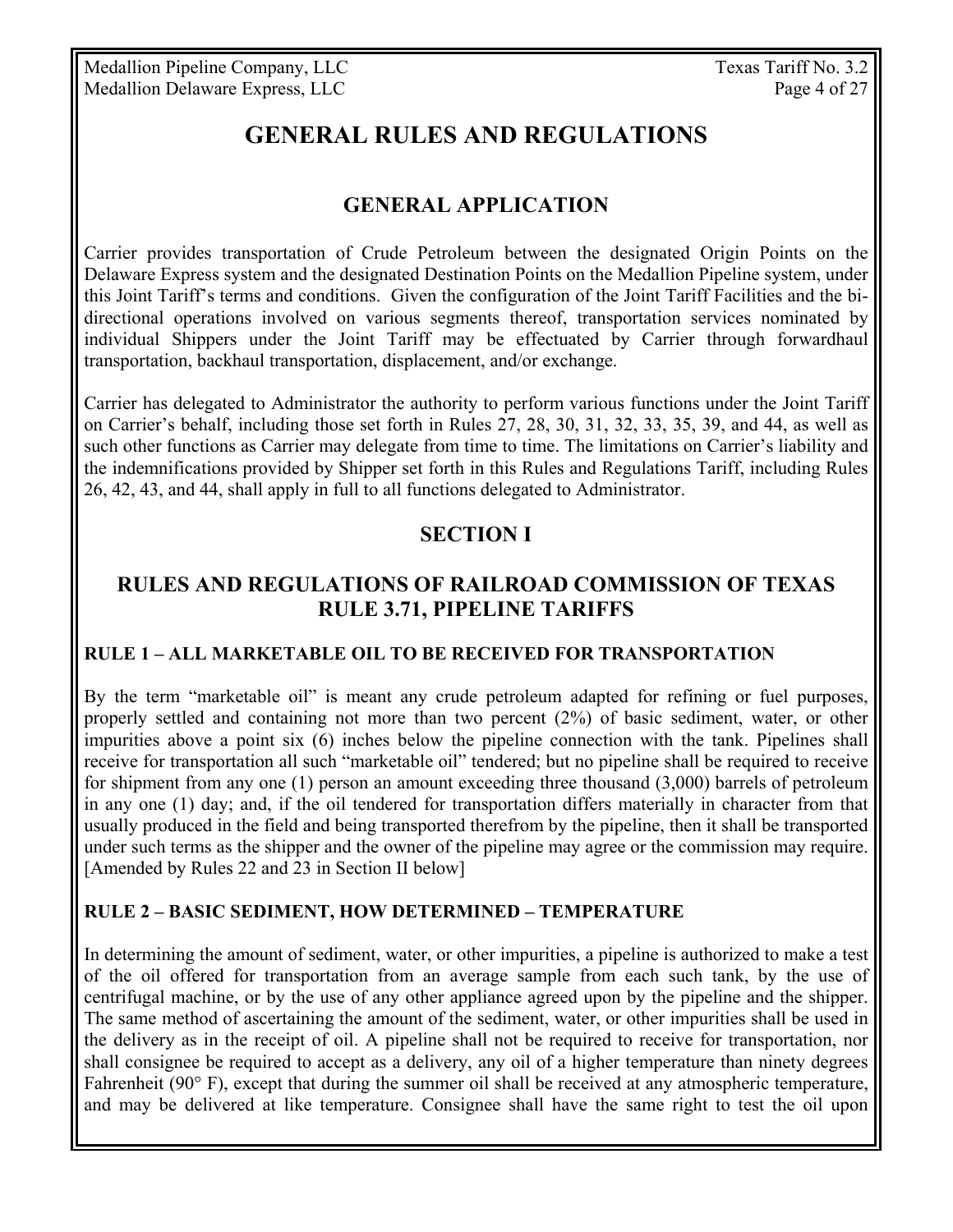# **GENERAL RULES AND REGULATIONS**

## **GENERAL APPLICATION**

Carrier provides transportation of Crude Petroleum between the designated Origin Points on the Delaware Express system and the designated Destination Points on the Medallion Pipeline system, under this Joint Tariff's terms and conditions. Given the configuration of the Joint Tariff Facilities and the bidirectional operations involved on various segments thereof, transportation services nominated by individual Shippers under the Joint Tariff may be effectuated by Carrier through forwardhaul transportation, backhaul transportation, displacement, and/or exchange.

Carrier has delegated to Administrator the authority to perform various functions under the Joint Tariff on Carrier's behalf, including those set forth in Rules 27, 28, 30, 31, 32, 33, 35, 39, and 44, as well as such other functions as Carrier may delegate from time to time. The limitations on Carrier's liability and the indemnifications provided by Shipper set forth in this Rules and Regulations Tariff, including Rules 26, 42, 43, and 44, shall apply in full to all functions delegated to Administrator.

## **SECTION I**

## **RULES AND REGULATIONS OF RAILROAD COMMISSION OF TEXAS RULE 3.71, PIPELINE TARIFFS**

#### **RULE 1 – ALL MARKETABLE OIL TO BE RECEIVED FOR TRANSPORTATION**

By the term "marketable oil" is meant any crude petroleum adapted for refining or fuel purposes, properly settled and containing not more than two percent (2%) of basic sediment, water, or other impurities above a point six (6) inches below the pipeline connection with the tank. Pipelines shall receive for transportation all such "marketable oil" tendered; but no pipeline shall be required to receive for shipment from any one (1) person an amount exceeding three thousand (3,000) barrels of petroleum in any one (1) day; and, if the oil tendered for transportation differs materially in character from that usually produced in the field and being transported therefrom by the pipeline, then it shall be transported under such terms as the shipper and the owner of the pipeline may agree or the commission may require. [Amended by Rules 22 and 23 in Section II below]

#### **RULE 2 – BASIC SEDIMENT, HOW DETERMINED – TEMPERATURE**

In determining the amount of sediment, water, or other impurities, a pipeline is authorized to make a test of the oil offered for transportation from an average sample from each such tank, by the use of centrifugal machine, or by the use of any other appliance agreed upon by the pipeline and the shipper. The same method of ascertaining the amount of the sediment, water, or other impurities shall be used in the delivery as in the receipt of oil. A pipeline shall not be required to receive for transportation, nor shall consignee be required to accept as a delivery, any oil of a higher temperature than ninety degrees Fahrenheit (90° F), except that during the summer oil shall be received at any atmospheric temperature, and may be delivered at like temperature. Consignee shall have the same right to test the oil upon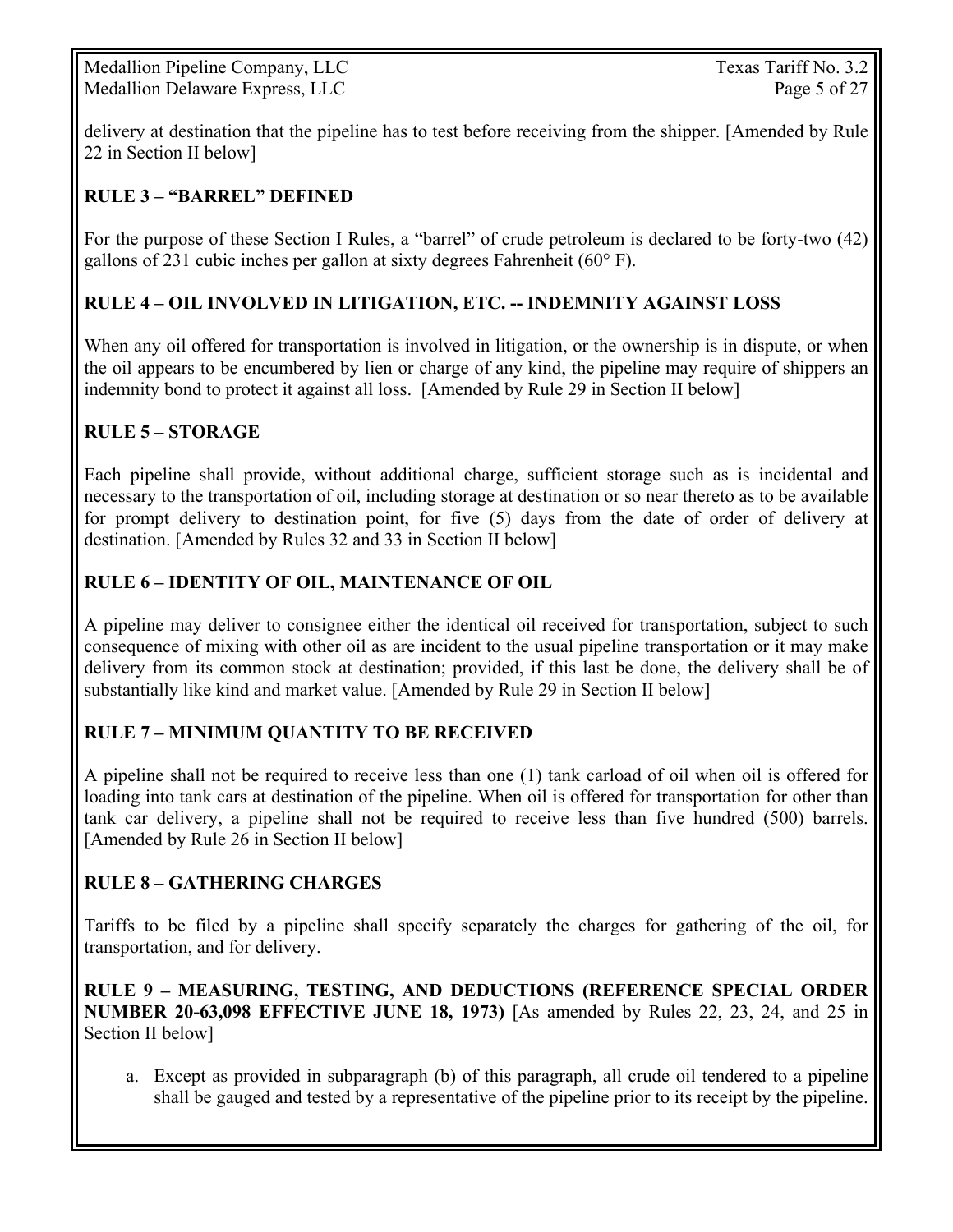Medallion Pipeline Company, LLC Texas Tariff No. 3.2 Medallion Delaware Express, LLC Page 5 of 27

delivery at destination that the pipeline has to test before receiving from the shipper. [Amended by Rule 22 in Section II below]

#### **RULE 3 – "BARREL" DEFINED**

For the purpose of these Section I Rules, a "barrel" of crude petroleum is declared to be forty-two (42) gallons of 231 cubic inches per gallon at sixty degrees Fahrenheit (60° F).

#### **RULE 4 – OIL INVOLVED IN LITIGATION, ETC. -- INDEMNITY AGAINST LOSS**

When any oil offered for transportation is involved in litigation, or the ownership is in dispute, or when the oil appears to be encumbered by lien or charge of any kind, the pipeline may require of shippers an indemnity bond to protect it against all loss. [Amended by Rule 29 in Section II below]

#### **RULE 5 – STORAGE**

Each pipeline shall provide, without additional charge, sufficient storage such as is incidental and necessary to the transportation of oil, including storage at destination or so near thereto as to be available for prompt delivery to destination point, for five (5) days from the date of order of delivery at destination. [Amended by Rules 32 and 33 in Section II below]

#### **RULE 6 – IDENTITY OF OIL, MAINTENANCE OF OIL**

A pipeline may deliver to consignee either the identical oil received for transportation, subject to such consequence of mixing with other oil as are incident to the usual pipeline transportation or it may make delivery from its common stock at destination; provided, if this last be done, the delivery shall be of substantially like kind and market value. [Amended by Rule 29 in Section II below]

#### **RULE 7 – MINIMUM QUANTITY TO BE RECEIVED**

A pipeline shall not be required to receive less than one (1) tank carload of oil when oil is offered for loading into tank cars at destination of the pipeline. When oil is offered for transportation for other than tank car delivery, a pipeline shall not be required to receive less than five hundred (500) barrels. [Amended by Rule 26 in Section II below]

#### **RULE 8 – GATHERING CHARGES**

Tariffs to be filed by a pipeline shall specify separately the charges for gathering of the oil, for transportation, and for delivery.

**RULE 9 – MEASURING, TESTING, AND DEDUCTIONS (REFERENCE SPECIAL ORDER NUMBER 20-63,098 EFFECTIVE JUNE 18, 1973)** [As amended by Rules 22, 23, 24, and 25 in Section II below]

a. Except as provided in subparagraph (b) of this paragraph, all crude oil tendered to a pipeline shall be gauged and tested by a representative of the pipeline prior to its receipt by the pipeline.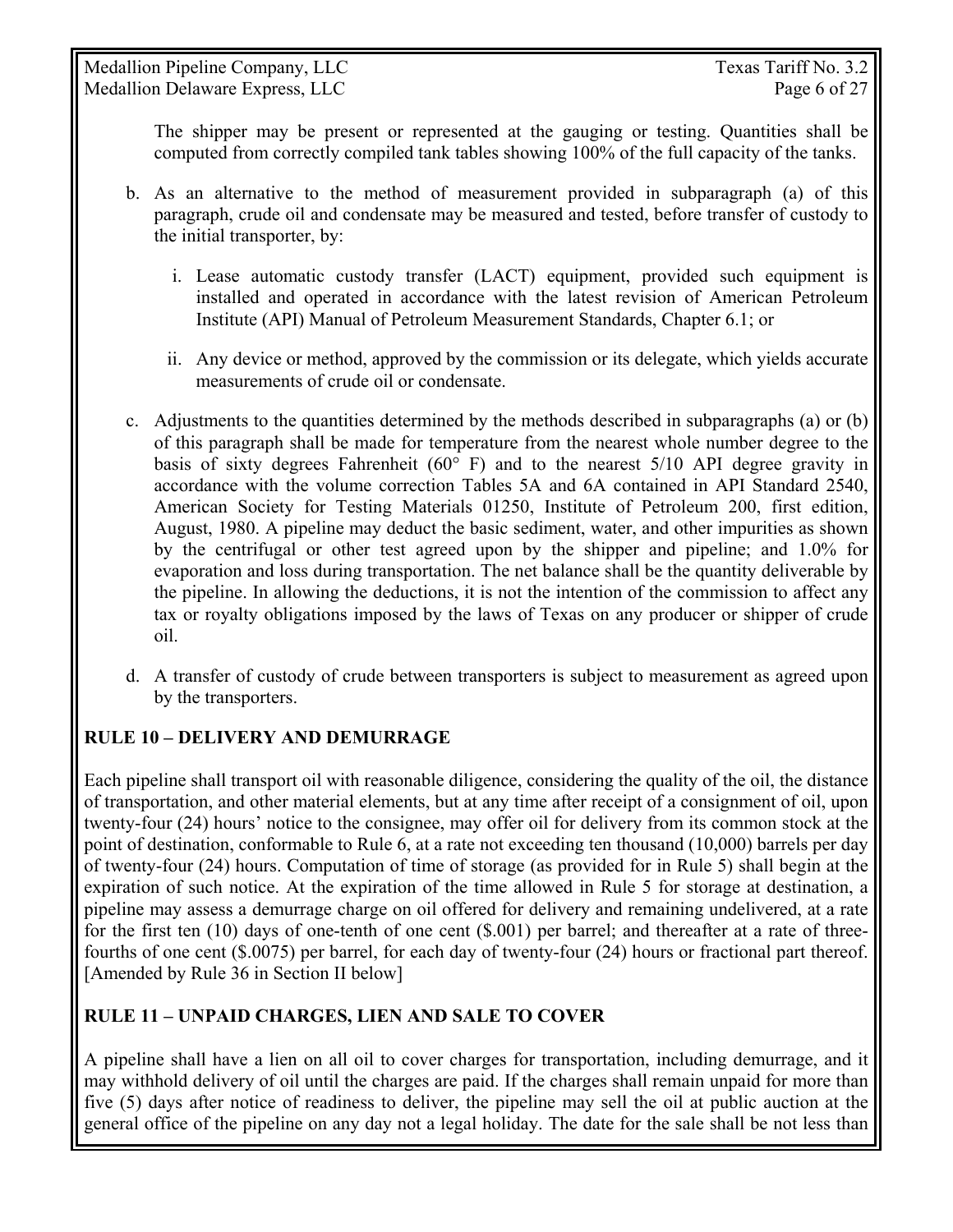The shipper may be present or represented at the gauging or testing. Quantities shall be computed from correctly compiled tank tables showing 100% of the full capacity of the tanks.

- b. As an alternative to the method of measurement provided in subparagraph (a) of this paragraph, crude oil and condensate may be measured and tested, before transfer of custody to the initial transporter, by:
	- i. Lease automatic custody transfer (LACT) equipment, provided such equipment is installed and operated in accordance with the latest revision of American Petroleum Institute (API) Manual of Petroleum Measurement Standards, Chapter 6.1; or
	- ii. Any device or method, approved by the commission or its delegate, which yields accurate measurements of crude oil or condensate.
- c. Adjustments to the quantities determined by the methods described in subparagraphs (a) or (b) of this paragraph shall be made for temperature from the nearest whole number degree to the basis of sixty degrees Fahrenheit ( $60^{\circ}$  F) and to the nearest  $5/10$  API degree gravity in accordance with the volume correction Tables 5A and 6A contained in API Standard 2540, American Society for Testing Materials 01250, Institute of Petroleum 200, first edition, August, 1980. A pipeline may deduct the basic sediment, water, and other impurities as shown by the centrifugal or other test agreed upon by the shipper and pipeline; and 1.0% for evaporation and loss during transportation. The net balance shall be the quantity deliverable by the pipeline. In allowing the deductions, it is not the intention of the commission to affect any tax or royalty obligations imposed by the laws of Texas on any producer or shipper of crude oil.
- d. A transfer of custody of crude between transporters is subject to measurement as agreed upon by the transporters.

### **RULE 10 – DELIVERY AND DEMURRAGE**

Each pipeline shall transport oil with reasonable diligence, considering the quality of the oil, the distance of transportation, and other material elements, but at any time after receipt of a consignment of oil, upon twenty-four (24) hours' notice to the consignee, may offer oil for delivery from its common stock at the point of destination, conformable to Rule 6, at a rate not exceeding ten thousand (10,000) barrels per day of twenty-four (24) hours. Computation of time of storage (as provided for in Rule 5) shall begin at the expiration of such notice. At the expiration of the time allowed in Rule 5 for storage at destination, a pipeline may assess a demurrage charge on oil offered for delivery and remaining undelivered, at a rate for the first ten (10) days of one-tenth of one cent (\$.001) per barrel; and thereafter at a rate of threefourths of one cent (\$.0075) per barrel, for each day of twenty-four (24) hours or fractional part thereof. [Amended by Rule 36 in Section II below]

### **RULE 11 – UNPAID CHARGES, LIEN AND SALE TO COVER**

A pipeline shall have a lien on all oil to cover charges for transportation, including demurrage, and it may withhold delivery of oil until the charges are paid. If the charges shall remain unpaid for more than five (5) days after notice of readiness to deliver, the pipeline may sell the oil at public auction at the general office of the pipeline on any day not a legal holiday. The date for the sale shall be not less than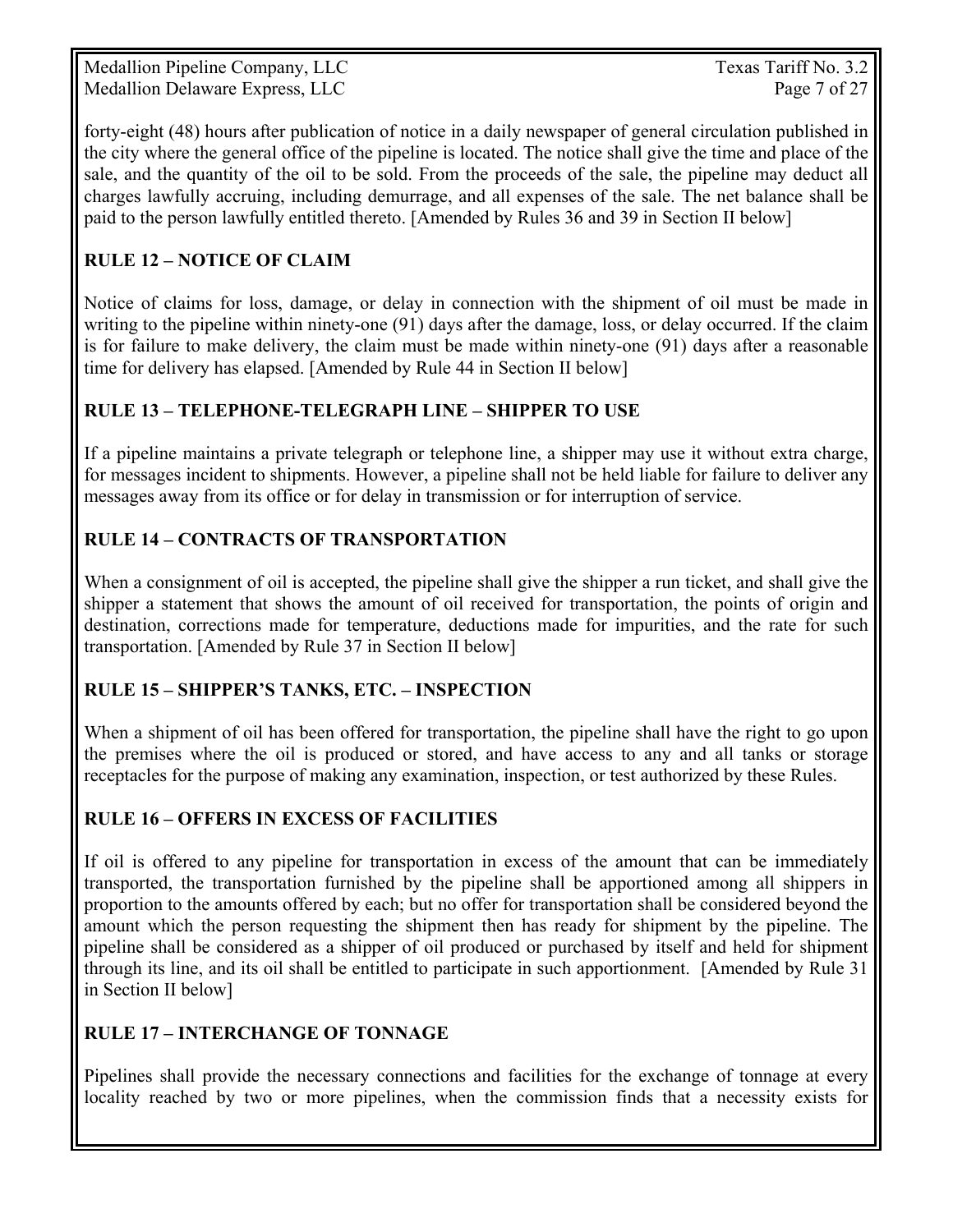Medallion Pipeline Company, LLC Texas Tariff No. 3.2 Medallion Delaware Express, LLC Page 7 of 27

forty-eight (48) hours after publication of notice in a daily newspaper of general circulation published in the city where the general office of the pipeline is located. The notice shall give the time and place of the sale, and the quantity of the oil to be sold. From the proceeds of the sale, the pipeline may deduct all charges lawfully accruing, including demurrage, and all expenses of the sale. The net balance shall be paid to the person lawfully entitled thereto. [Amended by Rules 36 and 39 in Section II below]

## **RULE 12 – NOTICE OF CLAIM**

Notice of claims for loss, damage, or delay in connection with the shipment of oil must be made in writing to the pipeline within ninety-one (91) days after the damage, loss, or delay occurred. If the claim is for failure to make delivery, the claim must be made within ninety-one (91) days after a reasonable time for delivery has elapsed. [Amended by Rule 44 in Section II below]

#### **RULE 13 – TELEPHONE-TELEGRAPH LINE – SHIPPER TO USE**

If a pipeline maintains a private telegraph or telephone line, a shipper may use it without extra charge, for messages incident to shipments. However, a pipeline shall not be held liable for failure to deliver any messages away from its office or for delay in transmission or for interruption of service.

#### **RULE 14 – CONTRACTS OF TRANSPORTATION**

When a consignment of oil is accepted, the pipeline shall give the shipper a run ticket, and shall give the shipper a statement that shows the amount of oil received for transportation, the points of origin and destination, corrections made for temperature, deductions made for impurities, and the rate for such transportation. [Amended by Rule 37 in Section II below]

#### **RULE 15 – SHIPPER'S TANKS, ETC. – INSPECTION**

When a shipment of oil has been offered for transportation, the pipeline shall have the right to go upon the premises where the oil is produced or stored, and have access to any and all tanks or storage receptacles for the purpose of making any examination, inspection, or test authorized by these Rules.

#### **RULE 16 – OFFERS IN EXCESS OF FACILITIES**

If oil is offered to any pipeline for transportation in excess of the amount that can be immediately transported, the transportation furnished by the pipeline shall be apportioned among all shippers in proportion to the amounts offered by each; but no offer for transportation shall be considered beyond the amount which the person requesting the shipment then has ready for shipment by the pipeline. The pipeline shall be considered as a shipper of oil produced or purchased by itself and held for shipment through its line, and its oil shall be entitled to participate in such apportionment. [Amended by Rule 31 in Section II below]

#### **RULE 17 – INTERCHANGE OF TONNAGE**

Pipelines shall provide the necessary connections and facilities for the exchange of tonnage at every locality reached by two or more pipelines, when the commission finds that a necessity exists for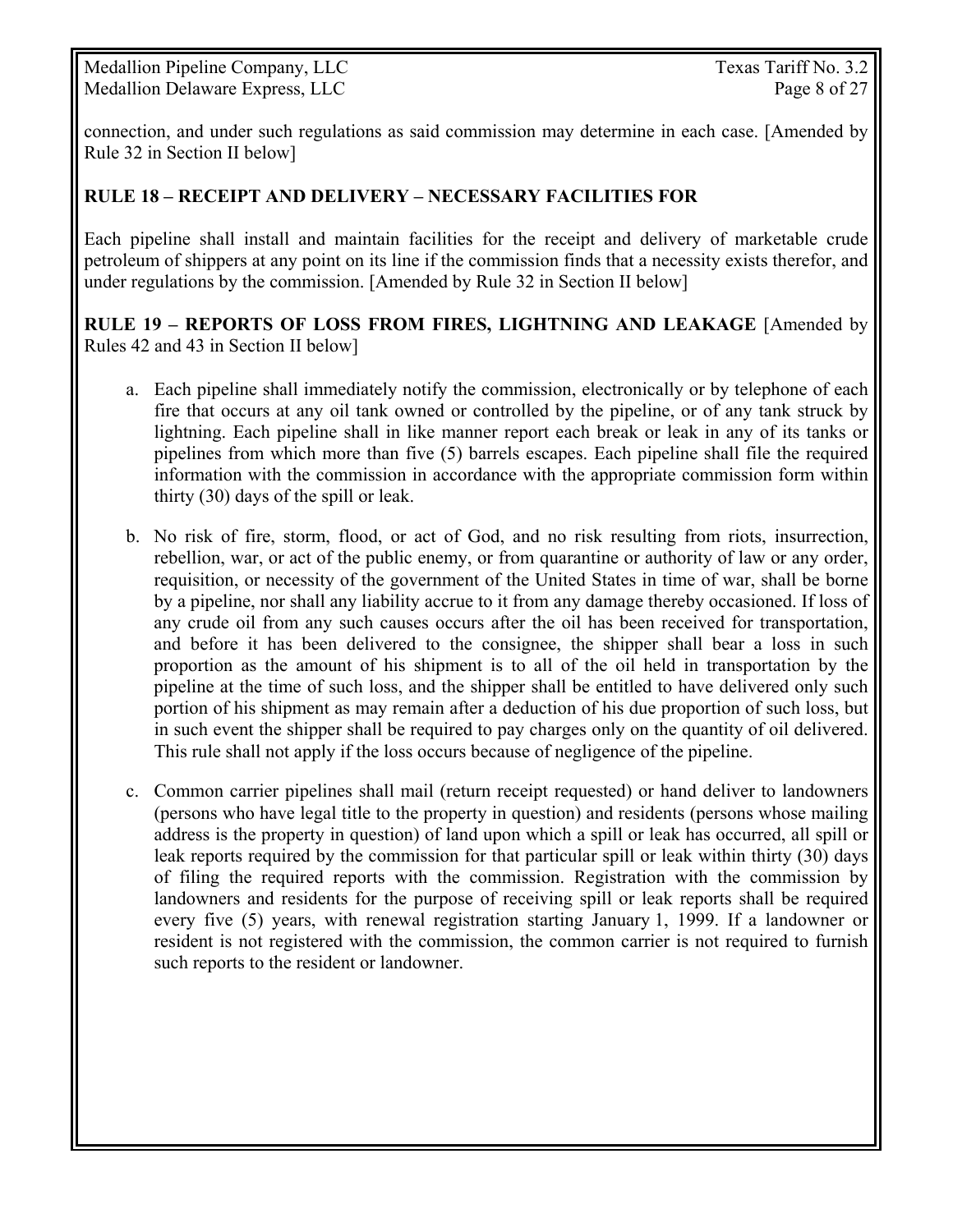Medallion Pipeline Company, LLC Texas Tariff No. 3.2 Medallion Delaware Express, LLC Page 8 of 27

connection, and under such regulations as said commission may determine in each case. [Amended by Rule 32 in Section II below]

#### **RULE 18 – RECEIPT AND DELIVERY – NECESSARY FACILITIES FOR**

Each pipeline shall install and maintain facilities for the receipt and delivery of marketable crude petroleum of shippers at any point on its line if the commission finds that a necessity exists therefor, and under regulations by the commission. [Amended by Rule 32 in Section II below]

**RULE 19 – REPORTS OF LOSS FROM FIRES, LIGHTNING AND LEAKAGE** [Amended by Rules 42 and 43 in Section II below]

- a. Each pipeline shall immediately notify the commission, electronically or by telephone of each fire that occurs at any oil tank owned or controlled by the pipeline, or of any tank struck by lightning. Each pipeline shall in like manner report each break or leak in any of its tanks or pipelines from which more than five (5) barrels escapes. Each pipeline shall file the required information with the commission in accordance with the appropriate commission form within thirty (30) days of the spill or leak.
- b. No risk of fire, storm, flood, or act of God, and no risk resulting from riots, insurrection, rebellion, war, or act of the public enemy, or from quarantine or authority of law or any order, requisition, or necessity of the government of the United States in time of war, shall be borne by a pipeline, nor shall any liability accrue to it from any damage thereby occasioned. If loss of any crude oil from any such causes occurs after the oil has been received for transportation, and before it has been delivered to the consignee, the shipper shall bear a loss in such proportion as the amount of his shipment is to all of the oil held in transportation by the pipeline at the time of such loss, and the shipper shall be entitled to have delivered only such portion of his shipment as may remain after a deduction of his due proportion of such loss, but in such event the shipper shall be required to pay charges only on the quantity of oil delivered. This rule shall not apply if the loss occurs because of negligence of the pipeline.
- c. Common carrier pipelines shall mail (return receipt requested) or hand deliver to landowners (persons who have legal title to the property in question) and residents (persons whose mailing address is the property in question) of land upon which a spill or leak has occurred, all spill or leak reports required by the commission for that particular spill or leak within thirty (30) days of filing the required reports with the commission. Registration with the commission by landowners and residents for the purpose of receiving spill or leak reports shall be required every five (5) years, with renewal registration starting January 1, 1999. If a landowner or resident is not registered with the commission, the common carrier is not required to furnish such reports to the resident or landowner.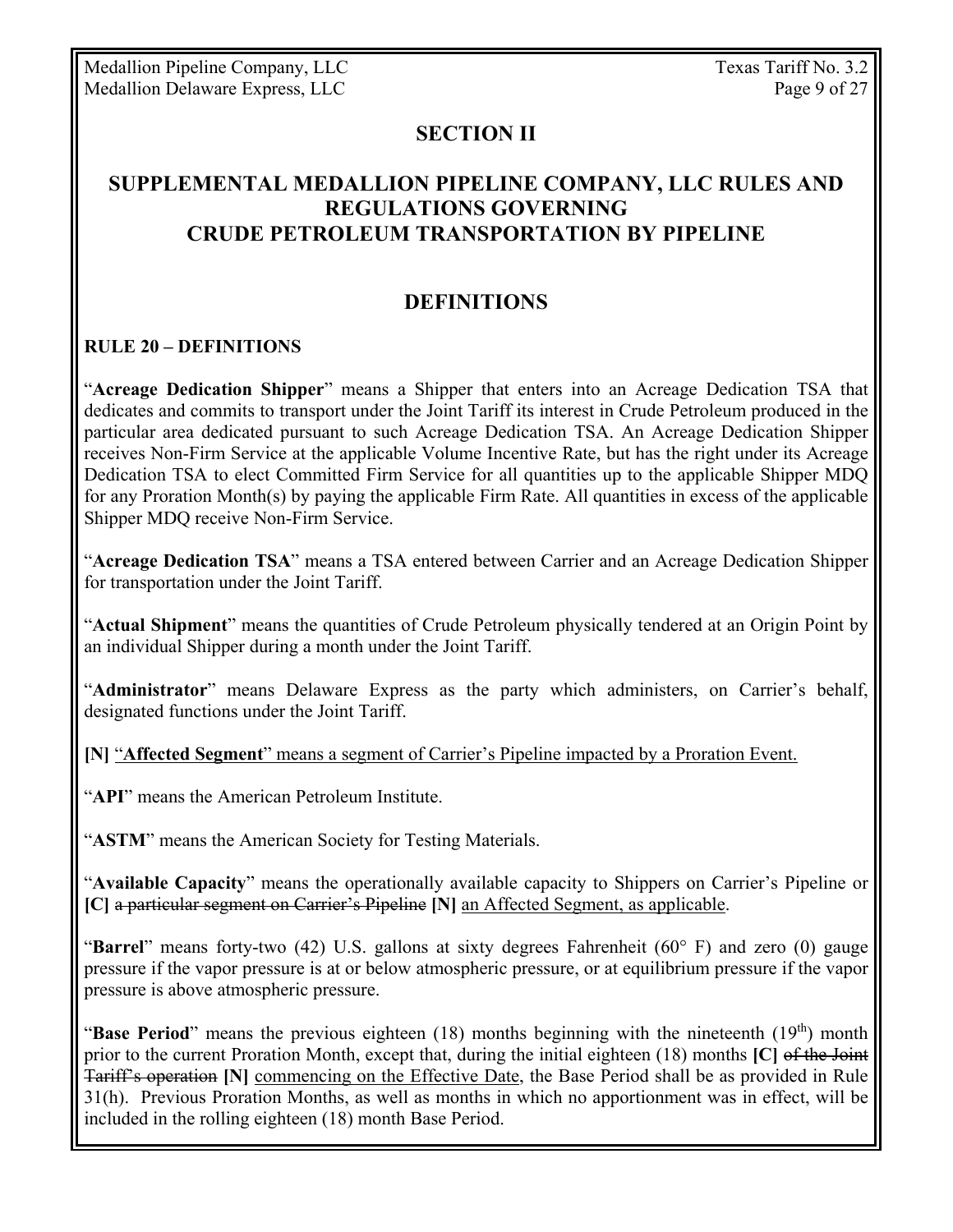Medallion Pipeline Company, LLC Texas Tariff No. 3.2 Medallion Delaware Express, LLC Page 9 of 27

#### **SECTION II**

## **SUPPLEMENTAL MEDALLION PIPELINE COMPANY, LLC RULES AND REGULATIONS GOVERNING CRUDE PETROLEUM TRANSPORTATION BY PIPELINE**

## **DEFINITIONS**

#### **RULE 20 – DEFINITIONS**

"**Acreage Dedication Shipper**" means a Shipper that enters into an Acreage Dedication TSA that dedicates and commits to transport under the Joint Tariff its interest in Crude Petroleum produced in the particular area dedicated pursuant to such Acreage Dedication TSA. An Acreage Dedication Shipper receives Non-Firm Service at the applicable Volume Incentive Rate, but has the right under its Acreage Dedication TSA to elect Committed Firm Service for all quantities up to the applicable Shipper MDQ for any Proration Month(s) by paying the applicable Firm Rate. All quantities in excess of the applicable Shipper MDQ receive Non-Firm Service.

"**Acreage Dedication TSA**" means a TSA entered between Carrier and an Acreage Dedication Shipper for transportation under the Joint Tariff.

"**Actual Shipment**" means the quantities of Crude Petroleum physically tendered at an Origin Point by an individual Shipper during a month under the Joint Tariff.

"**Administrator**" means Delaware Express as the party which administers, on Carrier's behalf, designated functions under the Joint Tariff.

**[N]** "**Affected Segment**" means a segment of Carrier's Pipeline impacted by a Proration Event.

"**API**" means the American Petroleum Institute.

"**ASTM**" means the American Society for Testing Materials.

"**Available Capacity**" means the operationally available capacity to Shippers on Carrier's Pipeline or **[C]** a particular segment on Carrier's Pipeline **[N]** an Affected Segment, as applicable.

"**Barrel**" means forty-two (42) U.S. gallons at sixty degrees Fahrenheit (60° F) and zero (0) gauge pressure if the vapor pressure is at or below atmospheric pressure, or at equilibrium pressure if the vapor pressure is above atmospheric pressure.

"**Base Period**" means the previous eighteen (18) months beginning with the nineteenth (19<sup>th</sup>) month prior to the current Proration Month, except that, during the initial eighteen (18) months **[C]** of the Joint Tariff's operation **[N]** commencing on the Effective Date, the Base Period shall be as provided in Rule 31(h). Previous Proration Months, as well as months in which no apportionment was in effect, will be included in the rolling eighteen (18) month Base Period.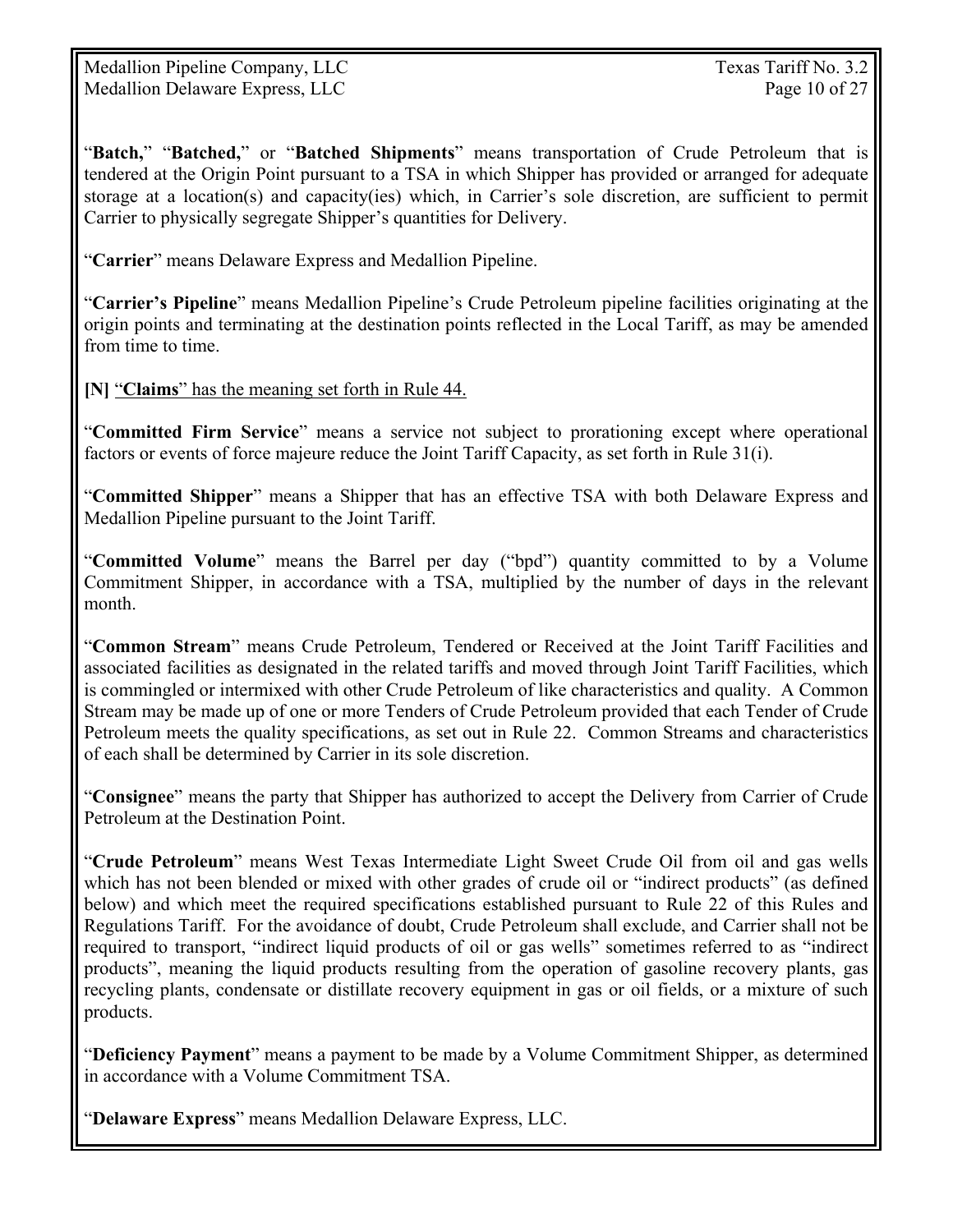Medallion Pipeline Company, LLC Texas Tariff No. 3.2 Medallion Delaware Express, LLC Page 10 of 27

"**Batch,**" "**Batched,**" or "**Batched Shipments**" means transportation of Crude Petroleum that is tendered at the Origin Point pursuant to a TSA in which Shipper has provided or arranged for adequate storage at a location(s) and capacity(ies) which, in Carrier's sole discretion, are sufficient to permit Carrier to physically segregate Shipper's quantities for Delivery.

"**Carrier**" means Delaware Express and Medallion Pipeline.

"**Carrier's Pipeline**" means Medallion Pipeline's Crude Petroleum pipeline facilities originating at the origin points and terminating at the destination points reflected in the Local Tariff, as may be amended from time to time.

**[N]** "**Claims**" has the meaning set forth in Rule 44.

"**Committed Firm Service**" means a service not subject to prorationing except where operational factors or events of force majeure reduce the Joint Tariff Capacity, as set forth in Rule 31(i).

"**Committed Shipper**" means a Shipper that has an effective TSA with both Delaware Express and Medallion Pipeline pursuant to the Joint Tariff.

"**Committed Volume**" means the Barrel per day ("bpd") quantity committed to by a Volume Commitment Shipper, in accordance with a TSA, multiplied by the number of days in the relevant month.

"**Common Stream**" means Crude Petroleum, Tendered or Received at the Joint Tariff Facilities and associated facilities as designated in the related tariffs and moved through Joint Tariff Facilities, which is commingled or intermixed with other Crude Petroleum of like characteristics and quality. A Common Stream may be made up of one or more Tenders of Crude Petroleum provided that each Tender of Crude Petroleum meets the quality specifications, as set out in Rule 22. Common Streams and characteristics of each shall be determined by Carrier in its sole discretion.

"**Consignee**" means the party that Shipper has authorized to accept the Delivery from Carrier of Crude Petroleum at the Destination Point.

"**Crude Petroleum**" means West Texas Intermediate Light Sweet Crude Oil from oil and gas wells which has not been blended or mixed with other grades of crude oil or "indirect products" (as defined below) and which meet the required specifications established pursuant to Rule 22 of this Rules and Regulations Tariff. For the avoidance of doubt, Crude Petroleum shall exclude, and Carrier shall not be required to transport, "indirect liquid products of oil or gas wells" sometimes referred to as "indirect products", meaning the liquid products resulting from the operation of gasoline recovery plants, gas recycling plants, condensate or distillate recovery equipment in gas or oil fields, or a mixture of such products.

"**Deficiency Payment**" means a payment to be made by a Volume Commitment Shipper, as determined in accordance with a Volume Commitment TSA.

"**Delaware Express**" means Medallion Delaware Express, LLC.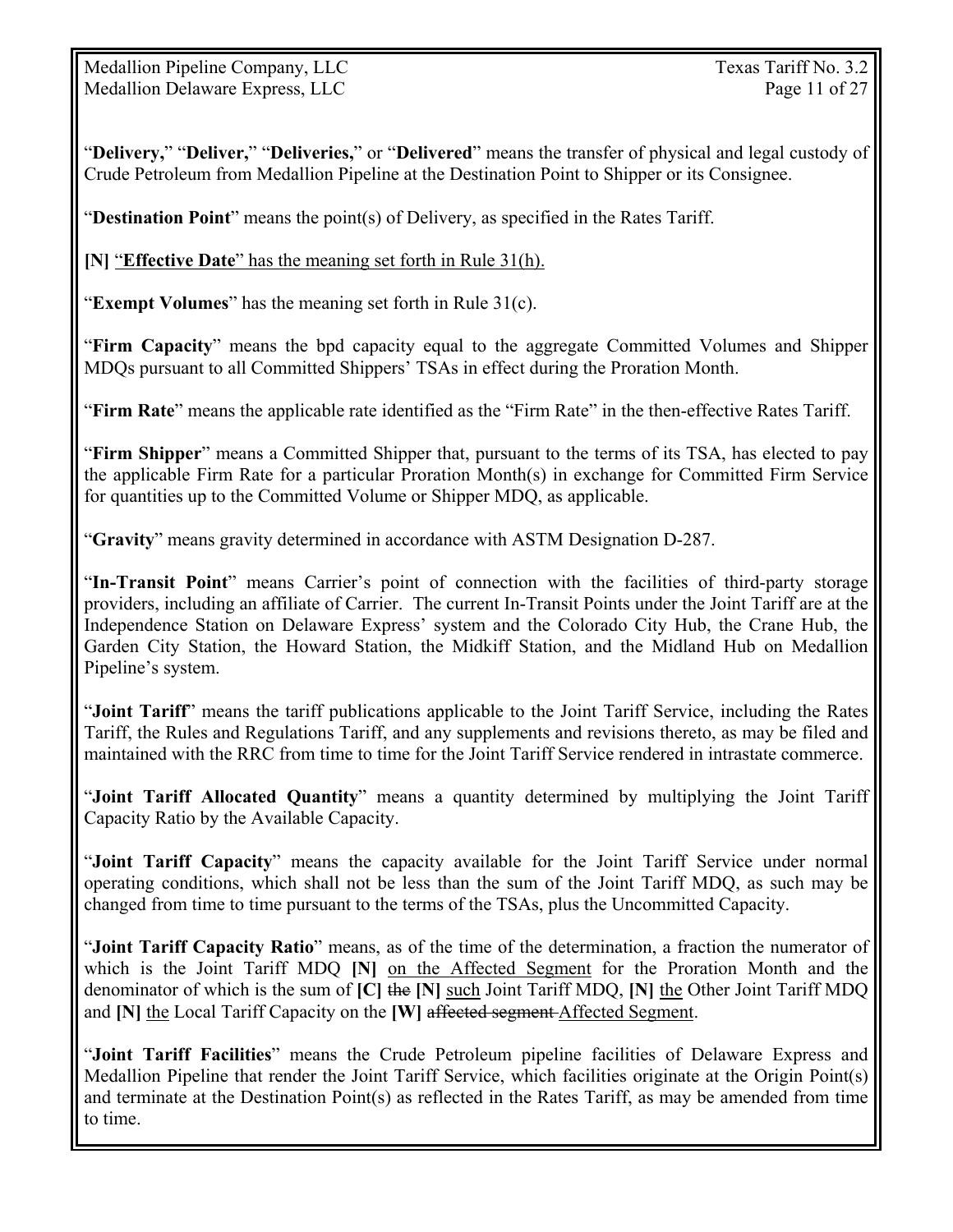Medallion Pipeline Company, LLC Texas Tariff No. 3.2 Medallion Delaware Express, LLC Page 11 of 27

"**Delivery,**" "**Deliver,**" "**Deliveries,**" or "**Delivered**" means the transfer of physical and legal custody of Crude Petroleum from Medallion Pipeline at the Destination Point to Shipper or its Consignee.

"**Destination Point**" means the point(s) of Delivery, as specified in the Rates Tariff.

**[N]** "**Effective Date**" has the meaning set forth in Rule 31(h).

"**Exempt Volumes**" has the meaning set forth in Rule 31(c).

"**Firm Capacity**" means the bpd capacity equal to the aggregate Committed Volumes and Shipper MDQs pursuant to all Committed Shippers' TSAs in effect during the Proration Month.

"**Firm Rate**" means the applicable rate identified as the "Firm Rate" in the then-effective Rates Tariff.

"**Firm Shipper**" means a Committed Shipper that, pursuant to the terms of its TSA, has elected to pay the applicable Firm Rate for a particular Proration Month(s) in exchange for Committed Firm Service for quantities up to the Committed Volume or Shipper MDQ, as applicable.

"**Gravity**" means gravity determined in accordance with ASTM Designation D-287.

"**In-Transit Point**" means Carrier's point of connection with the facilities of third-party storage providers, including an affiliate of Carrier. The current In-Transit Points under the Joint Tariff are at the Independence Station on Delaware Express' system and the Colorado City Hub, the Crane Hub, the Garden City Station, the Howard Station, the Midkiff Station, and the Midland Hub on Medallion Pipeline's system.

"**Joint Tariff**" means the tariff publications applicable to the Joint Tariff Service, including the Rates Tariff, the Rules and Regulations Tariff, and any supplements and revisions thereto, as may be filed and maintained with the RRC from time to time for the Joint Tariff Service rendered in intrastate commerce.

"**Joint Tariff Allocated Quantity**" means a quantity determined by multiplying the Joint Tariff Capacity Ratio by the Available Capacity.

"**Joint Tariff Capacity**" means the capacity available for the Joint Tariff Service under normal operating conditions, which shall not be less than the sum of the Joint Tariff MDQ, as such may be changed from time to time pursuant to the terms of the TSAs, plus the Uncommitted Capacity.

"**Joint Tariff Capacity Ratio**" means, as of the time of the determination, a fraction the numerator of which is the Joint Tariff MDQ **[N]** on the Affected Segment for the Proration Month and the denominator of which is the sum of **[C]** the **[N]** such Joint Tariff MDQ, **[N]** the Other Joint Tariff MDQ and **[N]** the Local Tariff Capacity on the **[W]** affected segment Affected Segment.

"**Joint Tariff Facilities**" means the Crude Petroleum pipeline facilities of Delaware Express and Medallion Pipeline that render the Joint Tariff Service, which facilities originate at the Origin Point(s) and terminate at the Destination Point(s) as reflected in the Rates Tariff, as may be amended from time to time.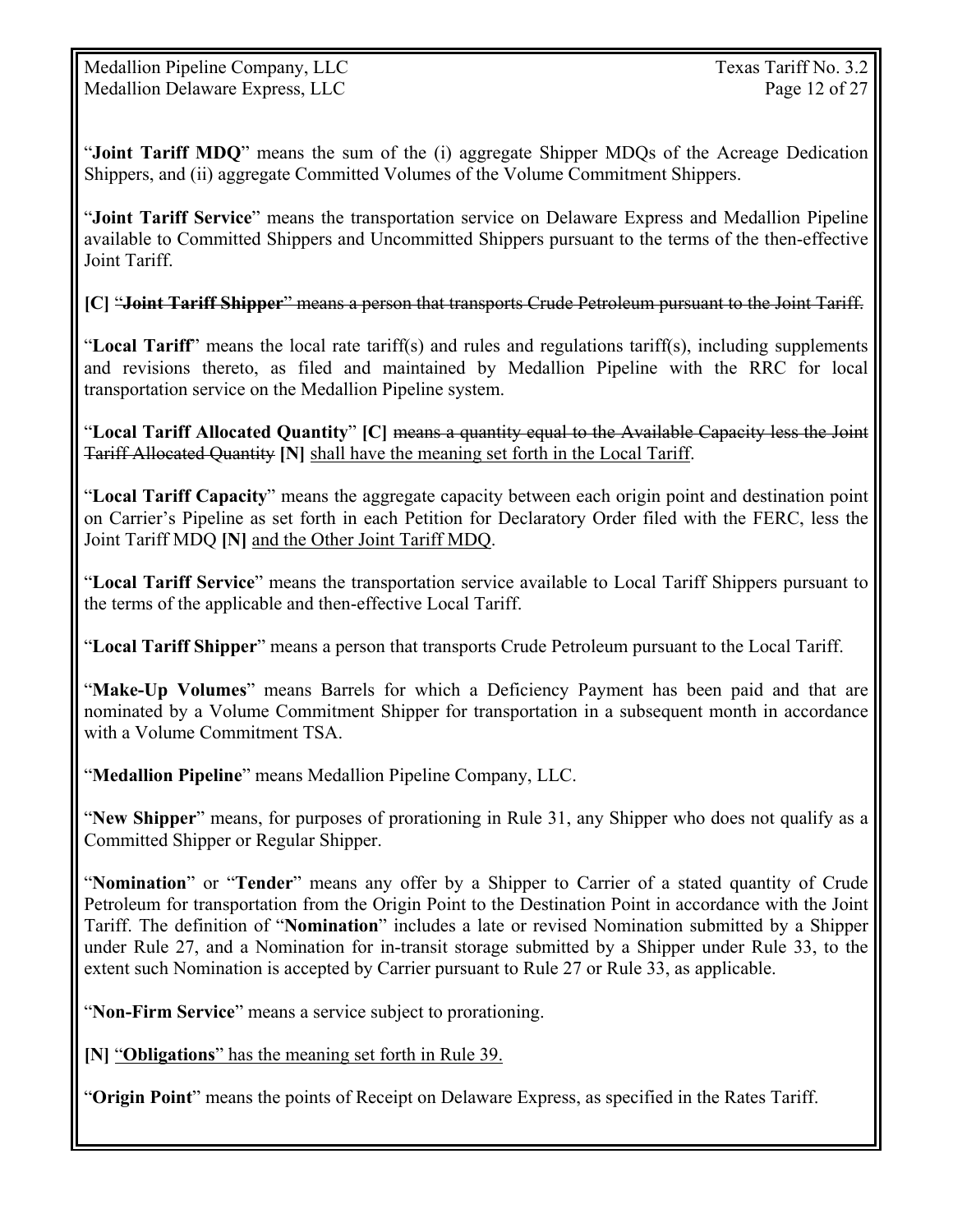"**Joint Tariff MDQ**" means the sum of the (i) aggregate Shipper MDQs of the Acreage Dedication Shippers, and (ii) aggregate Committed Volumes of the Volume Commitment Shippers.

"**Joint Tariff Service**" means the transportation service on Delaware Express and Medallion Pipeline available to Committed Shippers and Uncommitted Shippers pursuant to the terms of the then-effective Joint Tariff.

**[C]** "**Joint Tariff Shipper**" means a person that transports Crude Petroleum pursuant to the Joint Tariff.

"**Local Tariff**" means the local rate tariff(s) and rules and regulations tariff(s), including supplements and revisions thereto, as filed and maintained by Medallion Pipeline with the RRC for local transportation service on the Medallion Pipeline system.

"**Local Tariff Allocated Quantity**" **[C]** means a quantity equal to the Available Capacity less the Joint Tariff Allocated Quantity **[N]** shall have the meaning set forth in the Local Tariff.

"**Local Tariff Capacity**" means the aggregate capacity between each origin point and destination point on Carrier's Pipeline as set forth in each Petition for Declaratory Order filed with the FERC, less the Joint Tariff MDQ **[N]** and the Other Joint Tariff MDQ.

"**Local Tariff Service**" means the transportation service available to Local Tariff Shippers pursuant to the terms of the applicable and then-effective Local Tariff.

"**Local Tariff Shipper**" means a person that transports Crude Petroleum pursuant to the Local Tariff.

"**Make-Up Volumes**" means Barrels for which a Deficiency Payment has been paid and that are nominated by a Volume Commitment Shipper for transportation in a subsequent month in accordance with a Volume Commitment TSA.

"**Medallion Pipeline**" means Medallion Pipeline Company, LLC.

"**New Shipper**" means, for purposes of prorationing in Rule 31, any Shipper who does not qualify as a Committed Shipper or Regular Shipper.

"**Nomination**" or "**Tender**" means any offer by a Shipper to Carrier of a stated quantity of Crude Petroleum for transportation from the Origin Point to the Destination Point in accordance with the Joint Tariff. The definition of "**Nomination**" includes a late or revised Nomination submitted by a Shipper under Rule 27, and a Nomination for in-transit storage submitted by a Shipper under Rule 33, to the extent such Nomination is accepted by Carrier pursuant to Rule 27 or Rule 33, as applicable.

"**Non-Firm Service**" means a service subject to prorationing.

**[N]** "**Obligations**" has the meaning set forth in Rule 39.

"**Origin Point**" means the points of Receipt on Delaware Express, as specified in the Rates Tariff.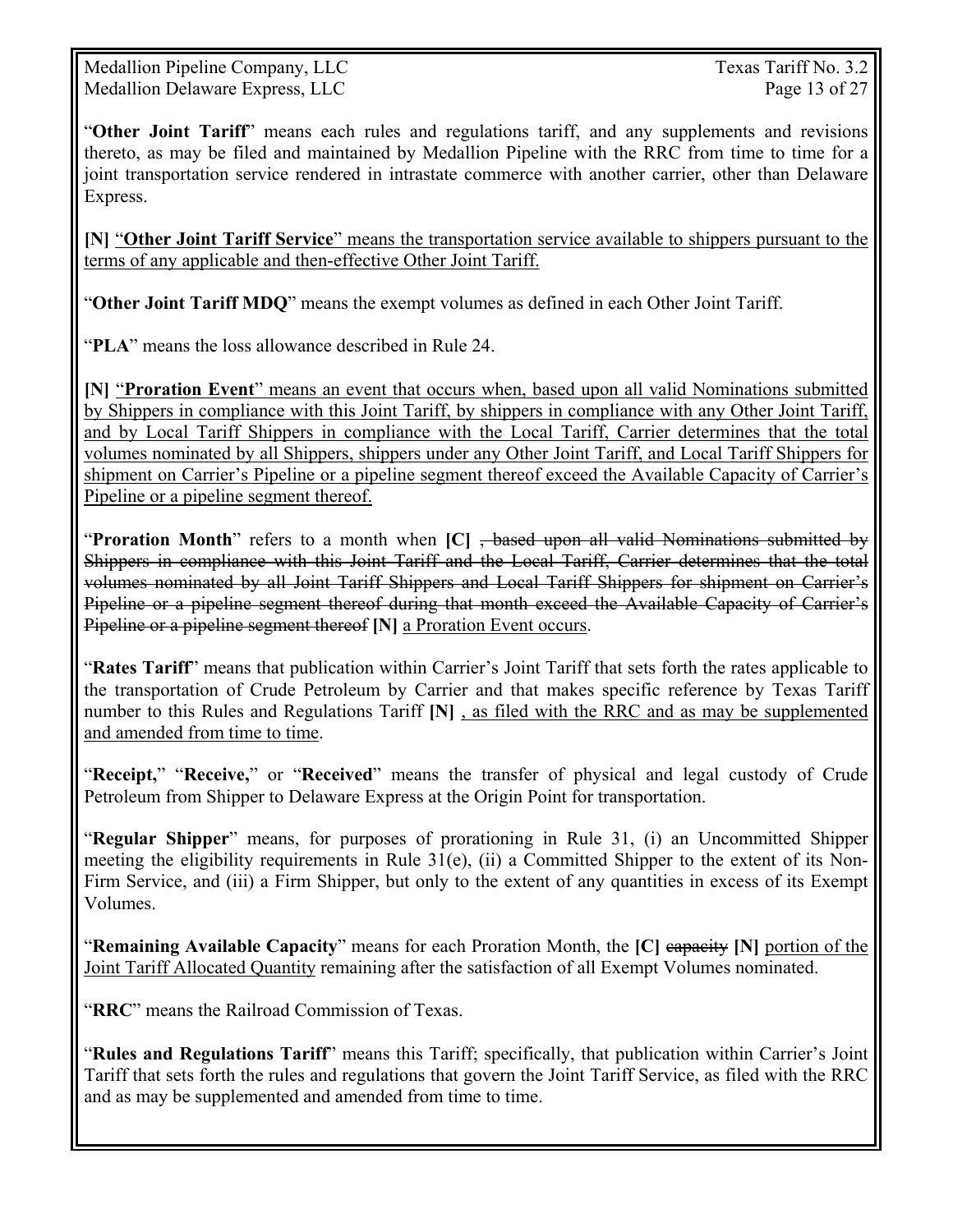Medallion Pipeline Company, LLC Texas Tariff No. 3.2 Medallion Delaware Express, LLC Page 13 of 27

"**Other Joint Tariff**" means each rules and regulations tariff, and any supplements and revisions thereto, as may be filed and maintained by Medallion Pipeline with the RRC from time to time for a joint transportation service rendered in intrastate commerce with another carrier, other than Delaware Express.

**[N]** "**Other Joint Tariff Service**" means the transportation service available to shippers pursuant to the terms of any applicable and then-effective Other Joint Tariff.

"**Other Joint Tariff MDQ**" means the exempt volumes as defined in each Other Joint Tariff.

"**PLA**" means the loss allowance described in Rule 24.

**[N]** "**Proration Event**" means an event that occurs when, based upon all valid Nominations submitted by Shippers in compliance with this Joint Tariff, by shippers in compliance with any Other Joint Tariff, and by Local Tariff Shippers in compliance with the Local Tariff, Carrier determines that the total volumes nominated by all Shippers, shippers under any Other Joint Tariff, and Local Tariff Shippers for shipment on Carrier's Pipeline or a pipeline segment thereof exceed the Available Capacity of Carrier's Pipeline or a pipeline segment thereof.

"**Proration Month**" refers to a month when **[C]** , based upon all valid Nominations submitted by Shippers in compliance with this Joint Tariff and the Local Tariff, Carrier determines that the total volumes nominated by all Joint Tariff Shippers and Local Tariff Shippers for shipment on Carrier's Pipeline or a pipeline segment thereof during that month exceed the Available Capacity of Carrier's Pipeline or a pipeline segment thereof **[N]** a Proration Event occurs.

"**Rates Tariff**" means that publication within Carrier's Joint Tariff that sets forth the rates applicable to the transportation of Crude Petroleum by Carrier and that makes specific reference by Texas Tariff number to this Rules and Regulations Tariff **[N]** , as filed with the RRC and as may be supplemented and amended from time to time.

"**Receipt,**" "**Receive,**" or "**Received**" means the transfer of physical and legal custody of Crude Petroleum from Shipper to Delaware Express at the Origin Point for transportation.

"**Regular Shipper**" means, for purposes of prorationing in Rule 31, (i) an Uncommitted Shipper meeting the eligibility requirements in Rule 31(e), (ii) a Committed Shipper to the extent of its Non-Firm Service, and (iii) a Firm Shipper, but only to the extent of any quantities in excess of its Exempt Volumes.

"**Remaining Available Capacity**" means for each Proration Month, the **[C]** capacity **[N]** portion of the Joint Tariff Allocated Quantity remaining after the satisfaction of all Exempt Volumes nominated.

"**RRC**" means the Railroad Commission of Texas.

"**Rules and Regulations Tariff**" means this Tariff; specifically, that publication within Carrier's Joint Tariff that sets forth the rules and regulations that govern the Joint Tariff Service, as filed with the RRC and as may be supplemented and amended from time to time.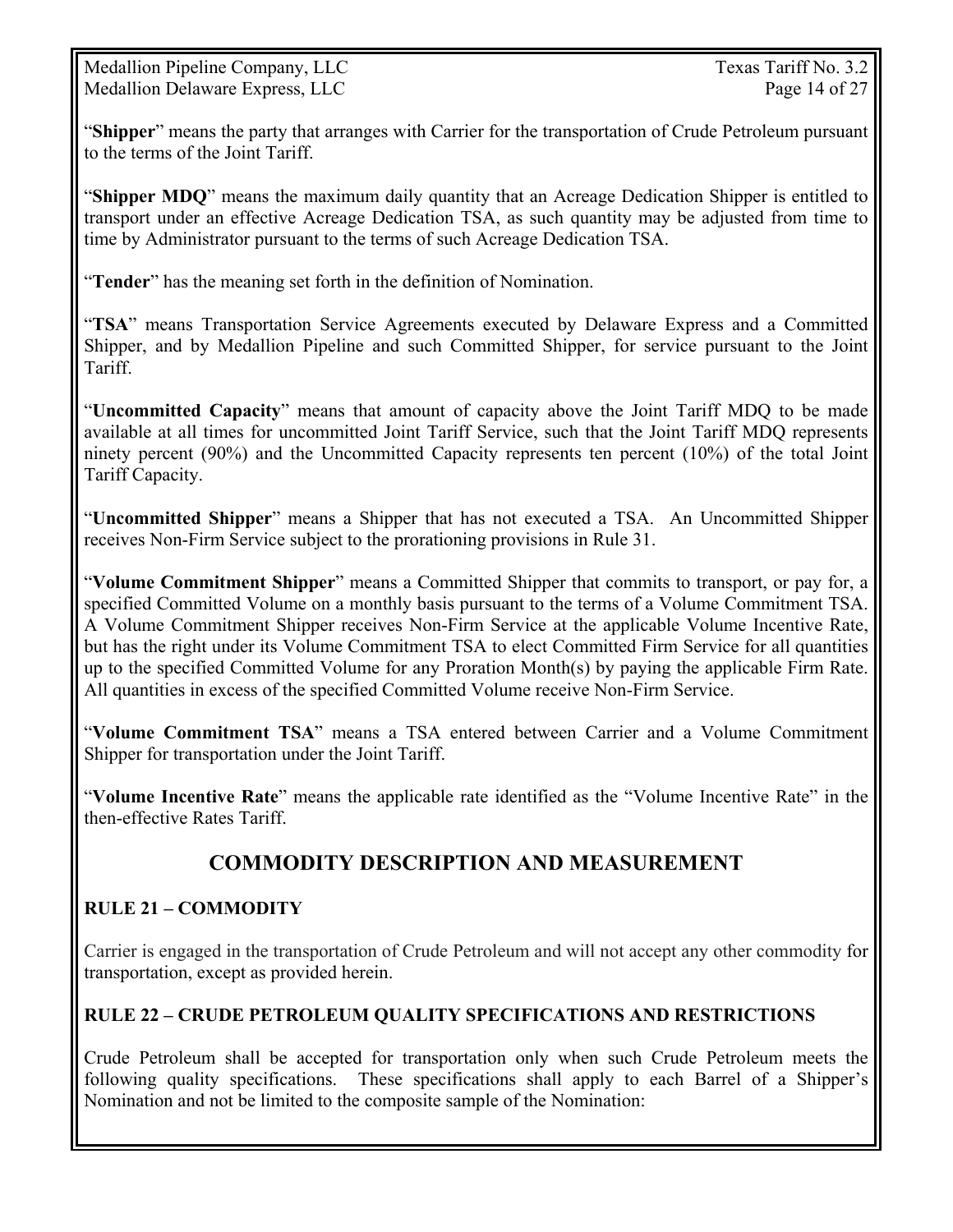Medallion Pipeline Company, LLC Texas Tariff No. 3.2 Medallion Delaware Express, LLC Page 14 of 27

"**Shipper**" means the party that arranges with Carrier for the transportation of Crude Petroleum pursuant to the terms of the Joint Tariff.

"**Shipper MDQ**" means the maximum daily quantity that an Acreage Dedication Shipper is entitled to transport under an effective Acreage Dedication TSA, as such quantity may be adjusted from time to time by Administrator pursuant to the terms of such Acreage Dedication TSA.

"**Tender**" has the meaning set forth in the definition of Nomination.

"**TSA**" means Transportation Service Agreements executed by Delaware Express and a Committed Shipper, and by Medallion Pipeline and such Committed Shipper, for service pursuant to the Joint Tariff.

"**Uncommitted Capacity**" means that amount of capacity above the Joint Tariff MDQ to be made available at all times for uncommitted Joint Tariff Service, such that the Joint Tariff MDQ represents ninety percent (90%) and the Uncommitted Capacity represents ten percent (10%) of the total Joint Tariff Capacity.

"**Uncommitted Shipper**" means a Shipper that has not executed a TSA. An Uncommitted Shipper receives Non-Firm Service subject to the prorationing provisions in Rule 31.

"**Volume Commitment Shipper**" means a Committed Shipper that commits to transport, or pay for, a specified Committed Volume on a monthly basis pursuant to the terms of a Volume Commitment TSA. A Volume Commitment Shipper receives Non-Firm Service at the applicable Volume Incentive Rate, but has the right under its Volume Commitment TSA to elect Committed Firm Service for all quantities up to the specified Committed Volume for any Proration Month(s) by paying the applicable Firm Rate. All quantities in excess of the specified Committed Volume receive Non-Firm Service.

"**Volume Commitment TSA**" means a TSA entered between Carrier and a Volume Commitment Shipper for transportation under the Joint Tariff.

"**Volume Incentive Rate**" means the applicable rate identified as the "Volume Incentive Rate" in the then-effective Rates Tariff.

## **COMMODITY DESCRIPTION AND MEASUREMENT**

#### **RULE 21 – COMMODITY**

Carrier is engaged in the transportation of Crude Petroleum and will not accept any other commodity for transportation, except as provided herein.

#### **RULE 22 – CRUDE PETROLEUM QUALITY SPECIFICATIONS AND RESTRICTIONS**

Crude Petroleum shall be accepted for transportation only when such Crude Petroleum meets the following quality specifications. These specifications shall apply to each Barrel of a Shipper's Nomination and not be limited to the composite sample of the Nomination: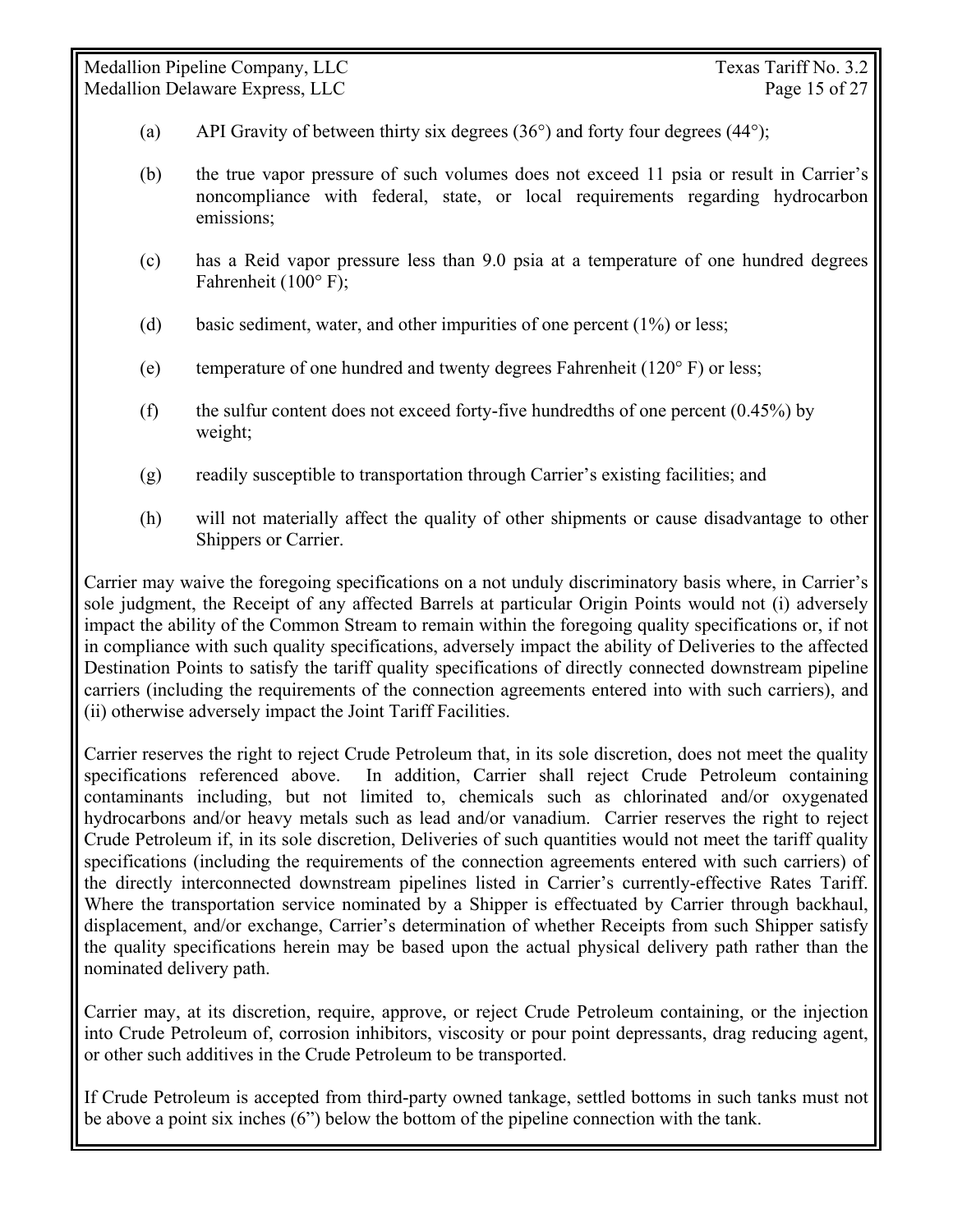- (a) API Gravity of between thirty six degrees  $(36^{\circ})$  and forty four degrees  $(44^{\circ})$ ;
- (b) the true vapor pressure of such volumes does not exceed 11 psia or result in Carrier's noncompliance with federal, state, or local requirements regarding hydrocarbon emissions;
- (c) has a Reid vapor pressure less than 9.0 psia at a temperature of one hundred degrees Fahrenheit (100° F);
- (d) basic sediment, water, and other impurities of one percent (1%) or less;
- (e) temperature of one hundred and twenty degrees Fahrenheit ( $120^\circ$  F) or less;
- (f) the sulfur content does not exceed forty-five hundredths of one percent  $(0.45\%)$  by weight;
- (g) readily susceptible to transportation through Carrier's existing facilities; and
- (h) will not materially affect the quality of other shipments or cause disadvantage to other Shippers or Carrier.

Carrier may waive the foregoing specifications on a not unduly discriminatory basis where, in Carrier's sole judgment, the Receipt of any affected Barrels at particular Origin Points would not (i) adversely impact the ability of the Common Stream to remain within the foregoing quality specifications or, if not in compliance with such quality specifications, adversely impact the ability of Deliveries to the affected Destination Points to satisfy the tariff quality specifications of directly connected downstream pipeline carriers (including the requirements of the connection agreements entered into with such carriers), and (ii) otherwise adversely impact the Joint Tariff Facilities.

Carrier reserves the right to reject Crude Petroleum that, in its sole discretion, does not meet the quality specifications referenced above. In addition, Carrier shall reject Crude Petroleum containing contaminants including, but not limited to, chemicals such as chlorinated and/or oxygenated hydrocarbons and/or heavy metals such as lead and/or vanadium. Carrier reserves the right to reject Crude Petroleum if, in its sole discretion, Deliveries of such quantities would not meet the tariff quality specifications (including the requirements of the connection agreements entered with such carriers) of the directly interconnected downstream pipelines listed in Carrier's currently-effective Rates Tariff. Where the transportation service nominated by a Shipper is effectuated by Carrier through backhaul, displacement, and/or exchange, Carrier's determination of whether Receipts from such Shipper satisfy the quality specifications herein may be based upon the actual physical delivery path rather than the nominated delivery path.

Carrier may, at its discretion, require, approve, or reject Crude Petroleum containing, or the injection into Crude Petroleum of, corrosion inhibitors, viscosity or pour point depressants, drag reducing agent, or other such additives in the Crude Petroleum to be transported.

If Crude Petroleum is accepted from third-party owned tankage, settled bottoms in such tanks must not be above a point six inches (6") below the bottom of the pipeline connection with the tank.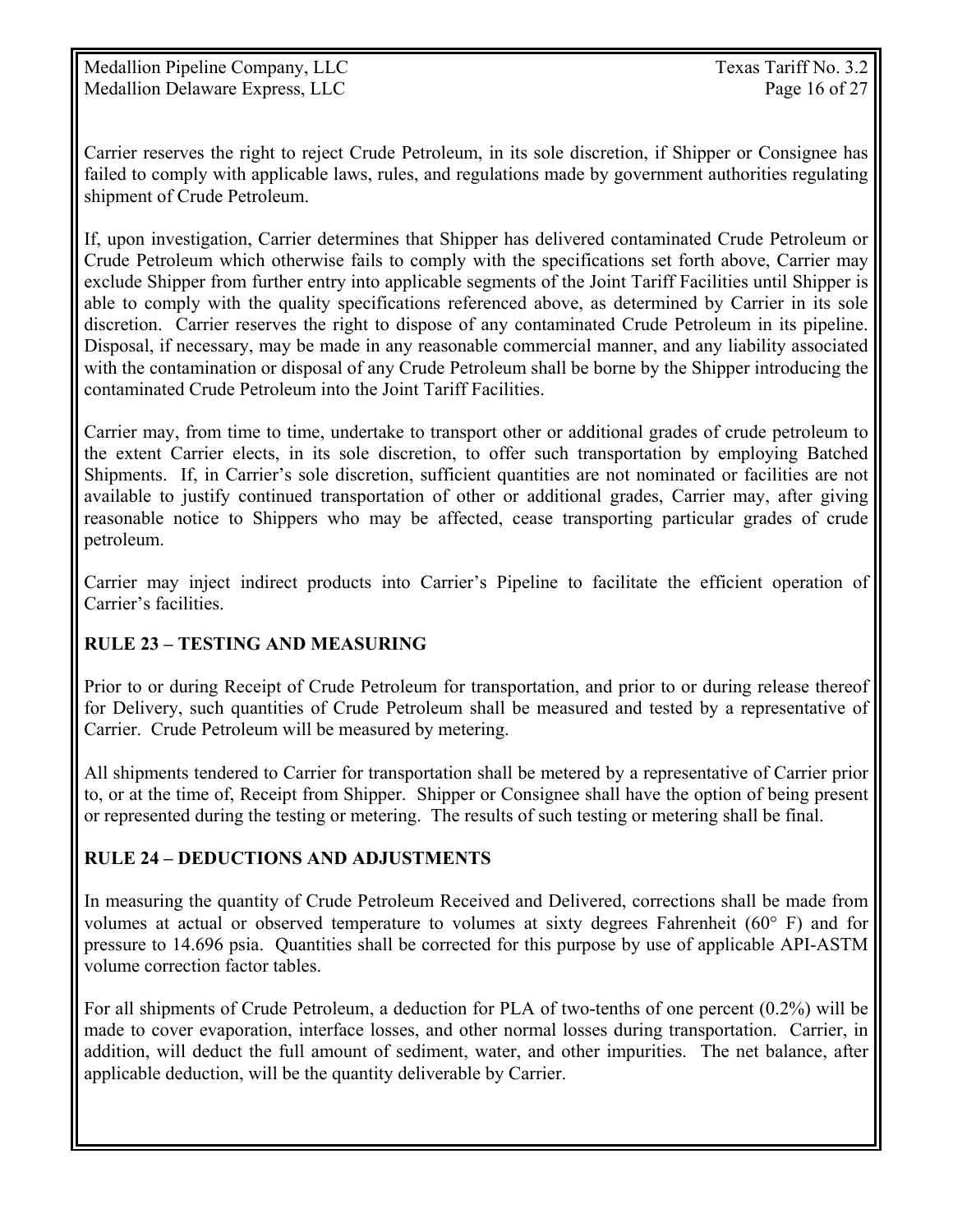Medallion Pipeline Company, LLC Texas Tariff No. 3.2 Medallion Delaware Express, LLC Page 16 of 27

Carrier reserves the right to reject Crude Petroleum, in its sole discretion, if Shipper or Consignee has failed to comply with applicable laws, rules, and regulations made by government authorities regulating shipment of Crude Petroleum.

If, upon investigation, Carrier determines that Shipper has delivered contaminated Crude Petroleum or Crude Petroleum which otherwise fails to comply with the specifications set forth above, Carrier may exclude Shipper from further entry into applicable segments of the Joint Tariff Facilities until Shipper is able to comply with the quality specifications referenced above, as determined by Carrier in its sole discretion. Carrier reserves the right to dispose of any contaminated Crude Petroleum in its pipeline. Disposal, if necessary, may be made in any reasonable commercial manner, and any liability associated with the contamination or disposal of any Crude Petroleum shall be borne by the Shipper introducing the contaminated Crude Petroleum into the Joint Tariff Facilities.

Carrier may, from time to time, undertake to transport other or additional grades of crude petroleum to the extent Carrier elects, in its sole discretion, to offer such transportation by employing Batched Shipments. If, in Carrier's sole discretion, sufficient quantities are not nominated or facilities are not available to justify continued transportation of other or additional grades, Carrier may, after giving reasonable notice to Shippers who may be affected, cease transporting particular grades of crude petroleum.

Carrier may inject indirect products into Carrier's Pipeline to facilitate the efficient operation of Carrier's facilities.

### **RULE 23 – TESTING AND MEASURING**

Prior to or during Receipt of Crude Petroleum for transportation, and prior to or during release thereof for Delivery, such quantities of Crude Petroleum shall be measured and tested by a representative of Carrier. Crude Petroleum will be measured by metering.

All shipments tendered to Carrier for transportation shall be metered by a representative of Carrier prior to, or at the time of, Receipt from Shipper. Shipper or Consignee shall have the option of being present or represented during the testing or metering. The results of such testing or metering shall be final.

#### **RULE 24 – DEDUCTIONS AND ADJUSTMENTS**

In measuring the quantity of Crude Petroleum Received and Delivered, corrections shall be made from volumes at actual or observed temperature to volumes at sixty degrees Fahrenheit (60° F) and for pressure to 14.696 psia. Quantities shall be corrected for this purpose by use of applicable API-ASTM volume correction factor tables.

For all shipments of Crude Petroleum, a deduction for PLA of two-tenths of one percent (0.2%) will be made to cover evaporation, interface losses, and other normal losses during transportation. Carrier, in addition, will deduct the full amount of sediment, water, and other impurities. The net balance, after applicable deduction, will be the quantity deliverable by Carrier.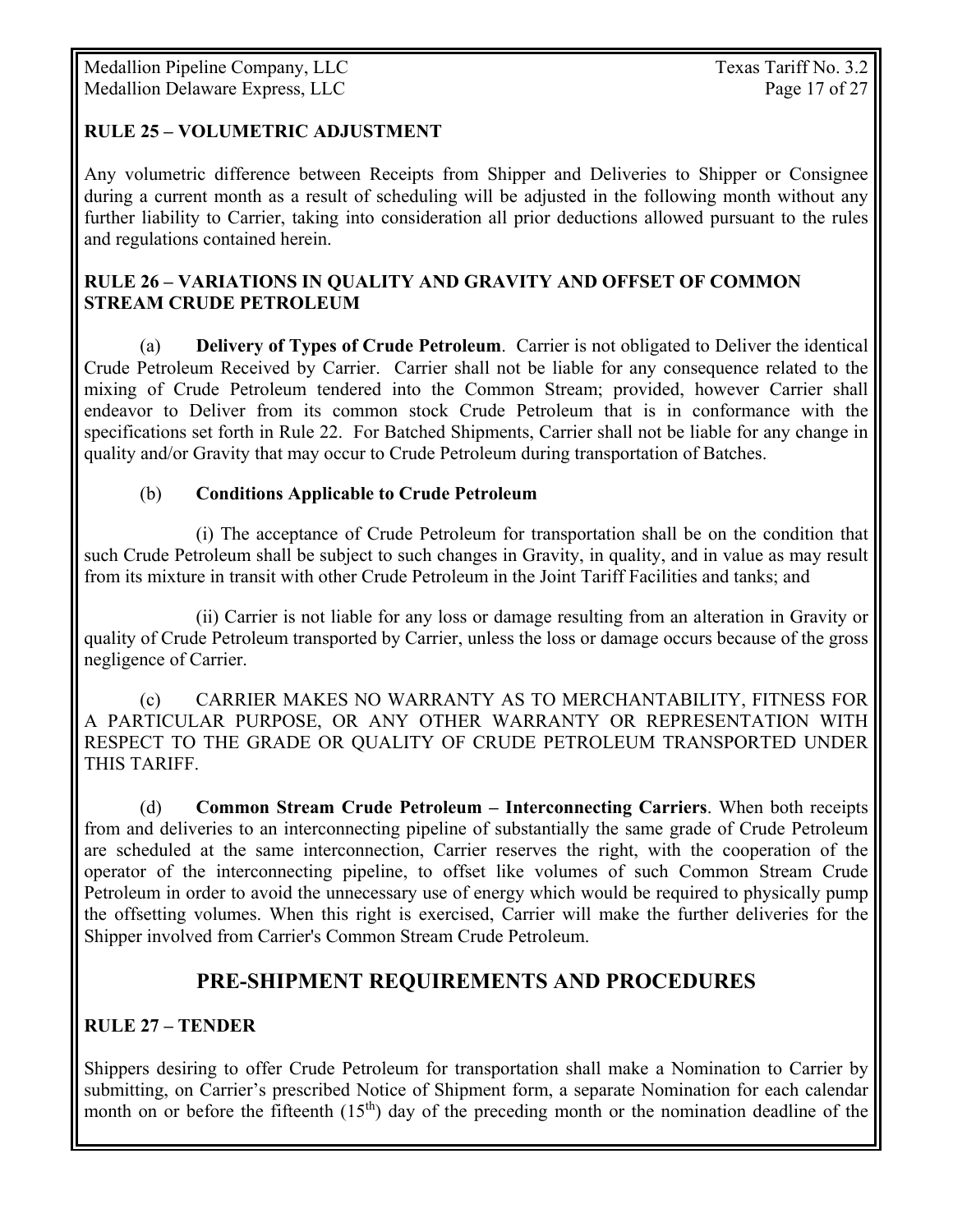#### **RULE 25 – VOLUMETRIC ADJUSTMENT**

Any volumetric difference between Receipts from Shipper and Deliveries to Shipper or Consignee during a current month as a result of scheduling will be adjusted in the following month without any further liability to Carrier, taking into consideration all prior deductions allowed pursuant to the rules and regulations contained herein.

#### **RULE 26 – VARIATIONS IN QUALITY AND GRAVITY AND OFFSET OF COMMON STREAM CRUDE PETROLEUM**

(a) **Delivery of Types of Crude Petroleum**. Carrier is not obligated to Deliver the identical Crude Petroleum Received by Carrier. Carrier shall not be liable for any consequence related to the mixing of Crude Petroleum tendered into the Common Stream; provided, however Carrier shall endeavor to Deliver from its common stock Crude Petroleum that is in conformance with the specifications set forth in Rule 22. For Batched Shipments, Carrier shall not be liable for any change in quality and/or Gravity that may occur to Crude Petroleum during transportation of Batches.

#### (b) **Conditions Applicable to Crude Petroleum**

 (i) The acceptance of Crude Petroleum for transportation shall be on the condition that such Crude Petroleum shall be subject to such changes in Gravity, in quality, and in value as may result from its mixture in transit with other Crude Petroleum in the Joint Tariff Facilities and tanks; and

 (ii) Carrier is not liable for any loss or damage resulting from an alteration in Gravity or quality of Crude Petroleum transported by Carrier, unless the loss or damage occurs because of the gross negligence of Carrier.

 (c) CARRIER MAKES NO WARRANTY AS TO MERCHANTABILITY, FITNESS FOR A PARTICULAR PURPOSE, OR ANY OTHER WARRANTY OR REPRESENTATION WITH RESPECT TO THE GRADE OR QUALITY OF CRUDE PETROLEUM TRANSPORTED UNDER THIS TARIFF.

 (d) **Common Stream Crude Petroleum – Interconnecting Carriers**. When both receipts from and deliveries to an interconnecting pipeline of substantially the same grade of Crude Petroleum are scheduled at the same interconnection, Carrier reserves the right, with the cooperation of the operator of the interconnecting pipeline, to offset like volumes of such Common Stream Crude Petroleum in order to avoid the unnecessary use of energy which would be required to physically pump the offsetting volumes. When this right is exercised, Carrier will make the further deliveries for the Shipper involved from Carrier's Common Stream Crude Petroleum.

### **PRE-SHIPMENT REQUIREMENTS AND PROCEDURES**

#### **RULE 27 – TENDER**

Shippers desiring to offer Crude Petroleum for transportation shall make a Nomination to Carrier by submitting, on Carrier's prescribed Notice of Shipment form, a separate Nomination for each calendar month on or before the fifteenth  $(15<sup>th</sup>)$  day of the preceding month or the nomination deadline of the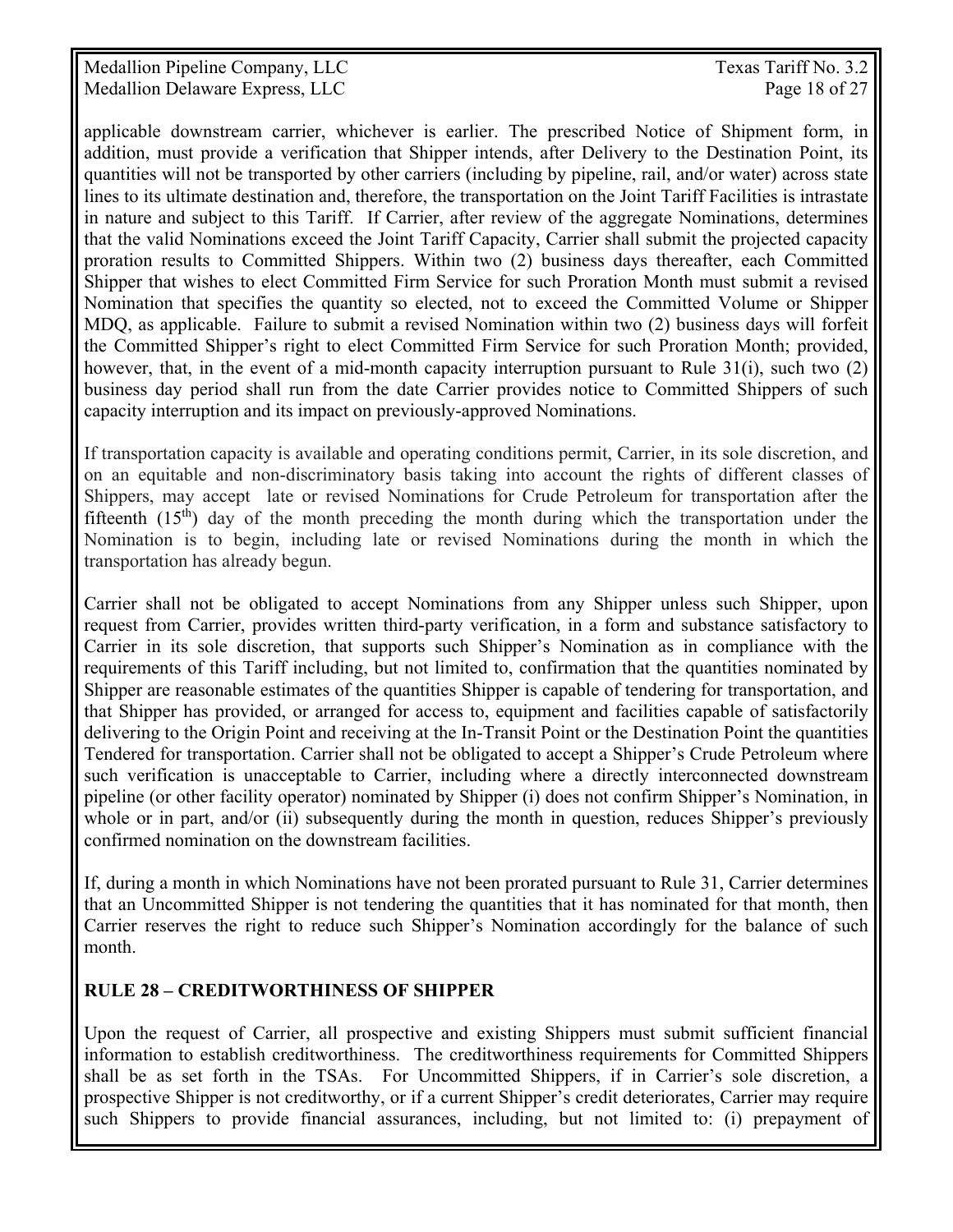Medallion Pipeline Company, LLC Texas Tariff No. 3.2 Medallion Delaware Express, LLC and the contract of the Page 18 of 27

applicable downstream carrier, whichever is earlier. The prescribed Notice of Shipment form, in addition, must provide a verification that Shipper intends, after Delivery to the Destination Point, its quantities will not be transported by other carriers (including by pipeline, rail, and/or water) across state lines to its ultimate destination and, therefore, the transportation on the Joint Tariff Facilities is intrastate in nature and subject to this Tariff. If Carrier, after review of the aggregate Nominations, determines that the valid Nominations exceed the Joint Tariff Capacity, Carrier shall submit the projected capacity proration results to Committed Shippers. Within two (2) business days thereafter, each Committed Shipper that wishes to elect Committed Firm Service for such Proration Month must submit a revised Nomination that specifies the quantity so elected, not to exceed the Committed Volume or Shipper MDQ, as applicable. Failure to submit a revised Nomination within two (2) business days will forfeit the Committed Shipper's right to elect Committed Firm Service for such Proration Month; provided, however, that, in the event of a mid-month capacity interruption pursuant to Rule 31(i), such two (2) business day period shall run from the date Carrier provides notice to Committed Shippers of such capacity interruption and its impact on previously-approved Nominations.

If transportation capacity is available and operating conditions permit, Carrier, in its sole discretion, and on an equitable and non-discriminatory basis taking into account the rights of different classes of Shippers, may accept late or revised Nominations for Crude Petroleum for transportation after the fifteenth  $(15<sup>th</sup>)$  day of the month preceding the month during which the transportation under the Nomination is to begin, including late or revised Nominations during the month in which the transportation has already begun.

Carrier shall not be obligated to accept Nominations from any Shipper unless such Shipper, upon request from Carrier, provides written third-party verification, in a form and substance satisfactory to Carrier in its sole discretion, that supports such Shipper's Nomination as in compliance with the requirements of this Tariff including, but not limited to, confirmation that the quantities nominated by Shipper are reasonable estimates of the quantities Shipper is capable of tendering for transportation, and that Shipper has provided, or arranged for access to, equipment and facilities capable of satisfactorily delivering to the Origin Point and receiving at the In-Transit Point or the Destination Point the quantities Tendered for transportation. Carrier shall not be obligated to accept a Shipper's Crude Petroleum where such verification is unacceptable to Carrier, including where a directly interconnected downstream pipeline (or other facility operator) nominated by Shipper (i) does not confirm Shipper's Nomination, in whole or in part, and/or (ii) subsequently during the month in question, reduces Shipper's previously confirmed nomination on the downstream facilities.

If, during a month in which Nominations have not been prorated pursuant to Rule 31, Carrier determines that an Uncommitted Shipper is not tendering the quantities that it has nominated for that month, then Carrier reserves the right to reduce such Shipper's Nomination accordingly for the balance of such month.

#### **RULE 28 – CREDITWORTHINESS OF SHIPPER**

Upon the request of Carrier, all prospective and existing Shippers must submit sufficient financial information to establish creditworthiness. The creditworthiness requirements for Committed Shippers shall be as set forth in the TSAs. For Uncommitted Shippers, if in Carrier's sole discretion, a prospective Shipper is not creditworthy, or if a current Shipper's credit deteriorates, Carrier may require such Shippers to provide financial assurances, including, but not limited to: (i) prepayment of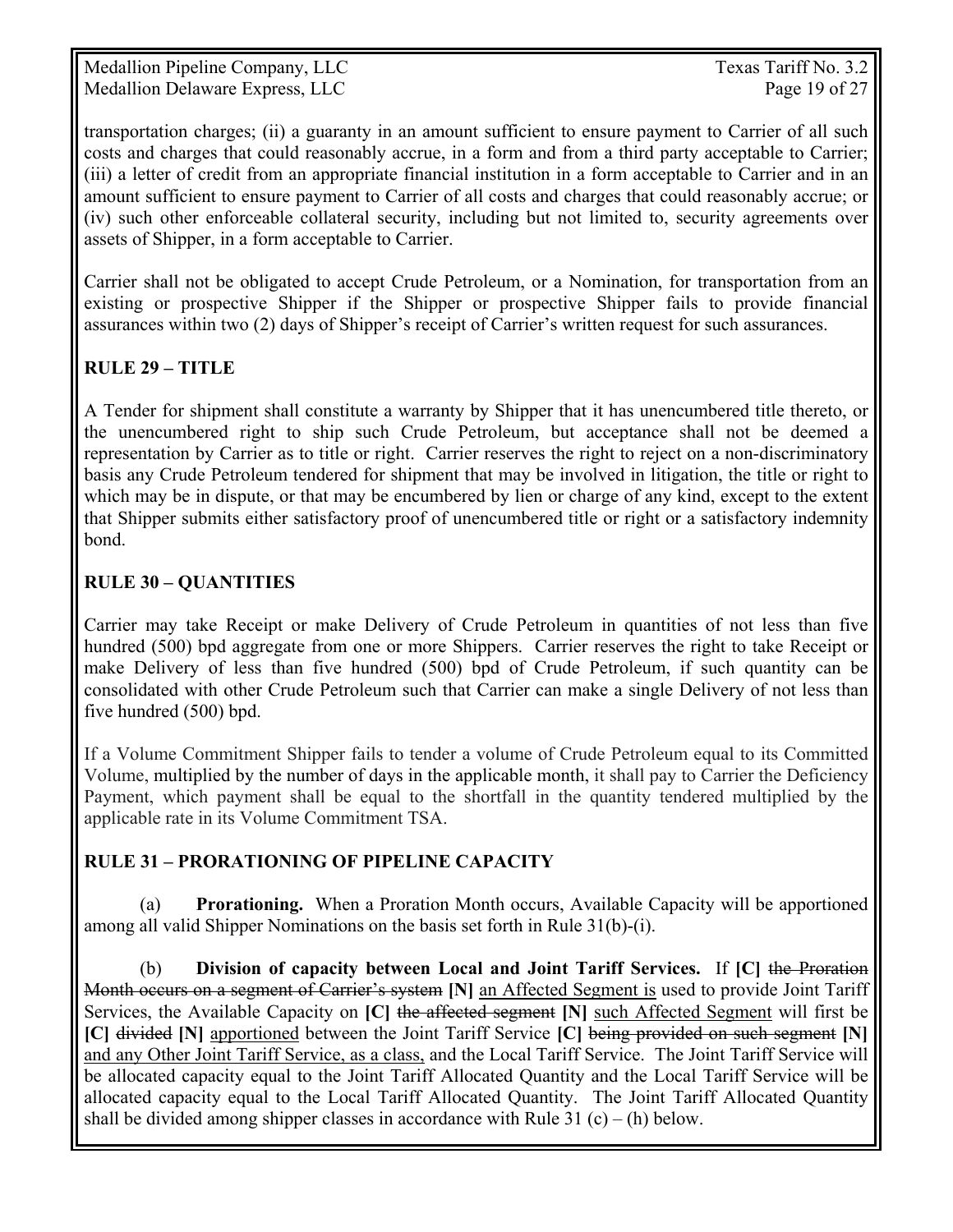Medallion Pipeline Company, LLC Texas Tariff No. 3.2 Medallion Delaware Express, LLC Page 19 of 27

transportation charges; (ii) a guaranty in an amount sufficient to ensure payment to Carrier of all such costs and charges that could reasonably accrue, in a form and from a third party acceptable to Carrier; (iii) a letter of credit from an appropriate financial institution in a form acceptable to Carrier and in an amount sufficient to ensure payment to Carrier of all costs and charges that could reasonably accrue; or (iv) such other enforceable collateral security, including but not limited to, security agreements over assets of Shipper, in a form acceptable to Carrier.

Carrier shall not be obligated to accept Crude Petroleum, or a Nomination, for transportation from an existing or prospective Shipper if the Shipper or prospective Shipper fails to provide financial assurances within two (2) days of Shipper's receipt of Carrier's written request for such assurances.

#### **RULE 29 – TITLE**

A Tender for shipment shall constitute a warranty by Shipper that it has unencumbered title thereto, or the unencumbered right to ship such Crude Petroleum, but acceptance shall not be deemed a representation by Carrier as to title or right. Carrier reserves the right to reject on a non-discriminatory basis any Crude Petroleum tendered for shipment that may be involved in litigation, the title or right to which may be in dispute, or that may be encumbered by lien or charge of any kind, except to the extent that Shipper submits either satisfactory proof of unencumbered title or right or a satisfactory indemnity bond.

#### **RULE 30 – QUANTITIES**

Carrier may take Receipt or make Delivery of Crude Petroleum in quantities of not less than five hundred (500) bpd aggregate from one or more Shippers. Carrier reserves the right to take Receipt or make Delivery of less than five hundred (500) bpd of Crude Petroleum, if such quantity can be consolidated with other Crude Petroleum such that Carrier can make a single Delivery of not less than five hundred (500) bpd.

If a Volume Commitment Shipper fails to tender a volume of Crude Petroleum equal to its Committed Volume, multiplied by the number of days in the applicable month, it shall pay to Carrier the Deficiency Payment, which payment shall be equal to the shortfall in the quantity tendered multiplied by the applicable rate in its Volume Commitment TSA.

#### **RULE 31 – PRORATIONING OF PIPELINE CAPACITY**

 (a) **Prorationing.** When a Proration Month occurs, Available Capacity will be apportioned among all valid Shipper Nominations on the basis set forth in Rule 31(b)-(i).

 (b) **Division of capacity between Local and Joint Tariff Services.** If **[C]** the Proration Month occurs on a segment of Carrier's system **[N]** an Affected Segment is used to provide Joint Tariff Services, the Available Capacity on **[C]** the affected segment **[N]** such Affected Segment will first be **[C]** divided **[N]** apportioned between the Joint Tariff Service **[C]** being provided on such segment **[N]** and any Other Joint Tariff Service, as a class, and the Local Tariff Service. The Joint Tariff Service will be allocated capacity equal to the Joint Tariff Allocated Quantity and the Local Tariff Service will be allocated capacity equal to the Local Tariff Allocated Quantity. The Joint Tariff Allocated Quantity shall be divided among shipper classes in accordance with Rule 31  $(c) - (h)$  below.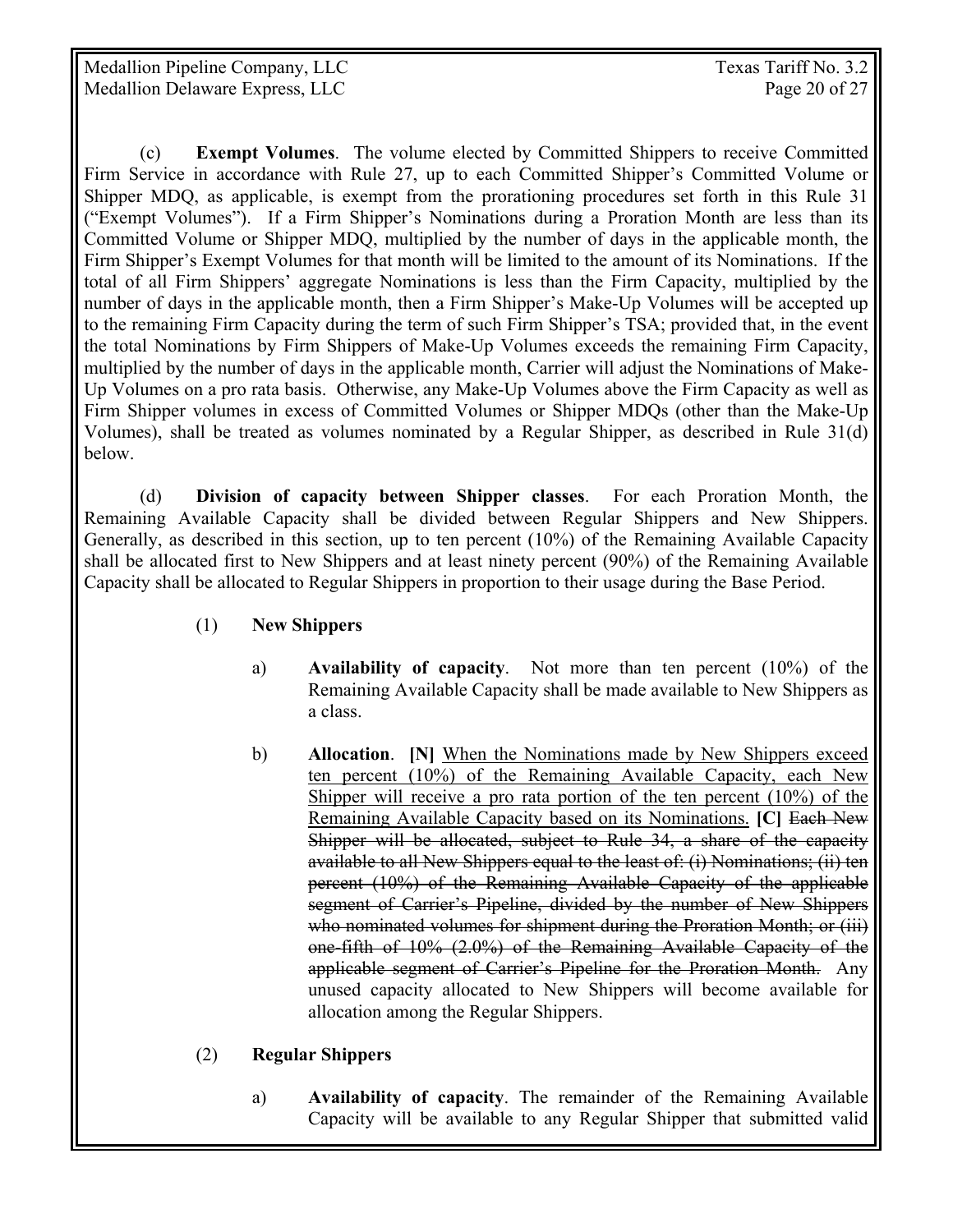Medallion Pipeline Company, LLC Texas Tariff No. 3.2 Medallion Delaware Express, LLC and the contract of the Page 20 of 27

 (c) **Exempt Volumes**. The volume elected by Committed Shippers to receive Committed Firm Service in accordance with Rule 27, up to each Committed Shipper's Committed Volume or Shipper MDQ, as applicable, is exempt from the prorationing procedures set forth in this Rule 31 ("Exempt Volumes"). If a Firm Shipper's Nominations during a Proration Month are less than its Committed Volume or Shipper MDQ, multiplied by the number of days in the applicable month, the Firm Shipper's Exempt Volumes for that month will be limited to the amount of its Nominations. If the total of all Firm Shippers' aggregate Nominations is less than the Firm Capacity, multiplied by the number of days in the applicable month, then a Firm Shipper's Make-Up Volumes will be accepted up to the remaining Firm Capacity during the term of such Firm Shipper's TSA; provided that, in the event the total Nominations by Firm Shippers of Make-Up Volumes exceeds the remaining Firm Capacity, multiplied by the number of days in the applicable month, Carrier will adjust the Nominations of Make-Up Volumes on a pro rata basis. Otherwise, any Make-Up Volumes above the Firm Capacity as well as Firm Shipper volumes in excess of Committed Volumes or Shipper MDQs (other than the Make-Up Volumes), shall be treated as volumes nominated by a Regular Shipper, as described in Rule 31(d) below.

(d) **Division of capacity between Shipper classes**. For each Proration Month, the Remaining Available Capacity shall be divided between Regular Shippers and New Shippers. Generally, as described in this section, up to ten percent (10%) of the Remaining Available Capacity shall be allocated first to New Shippers and at least ninety percent (90%) of the Remaining Available Capacity shall be allocated to Regular Shippers in proportion to their usage during the Base Period.

- (1) **New Shippers** 
	- a) **Availability of capacity**. Not more than ten percent (10%) of the Remaining Available Capacity shall be made available to New Shippers as a class.
	- b) **Allocation**. **[N]** When the Nominations made by New Shippers exceed ten percent (10%) of the Remaining Available Capacity, each New Shipper will receive a pro rata portion of the ten percent (10%) of the Remaining Available Capacity based on its Nominations. **[C]** Each New Shipper will be allocated, subject to Rule 34, a share of the capacity available to all New Shippers equal to the least of: (i) Nominations; (ii) ten percent (10%) of the Remaining Available Capacity of the applicable segment of Carrier's Pipeline, divided by the number of New Shippers who nominated volumes for shipment during the Proration Month; or (iii) one-fifth of 10% (2.0%) of the Remaining Available Capacity of the applicable segment of Carrier's Pipeline for the Proration Month. Any unused capacity allocated to New Shippers will become available for allocation among the Regular Shippers.

#### (2) **Regular Shippers**

a) **Availability of capacity**. The remainder of the Remaining Available Capacity will be available to any Regular Shipper that submitted valid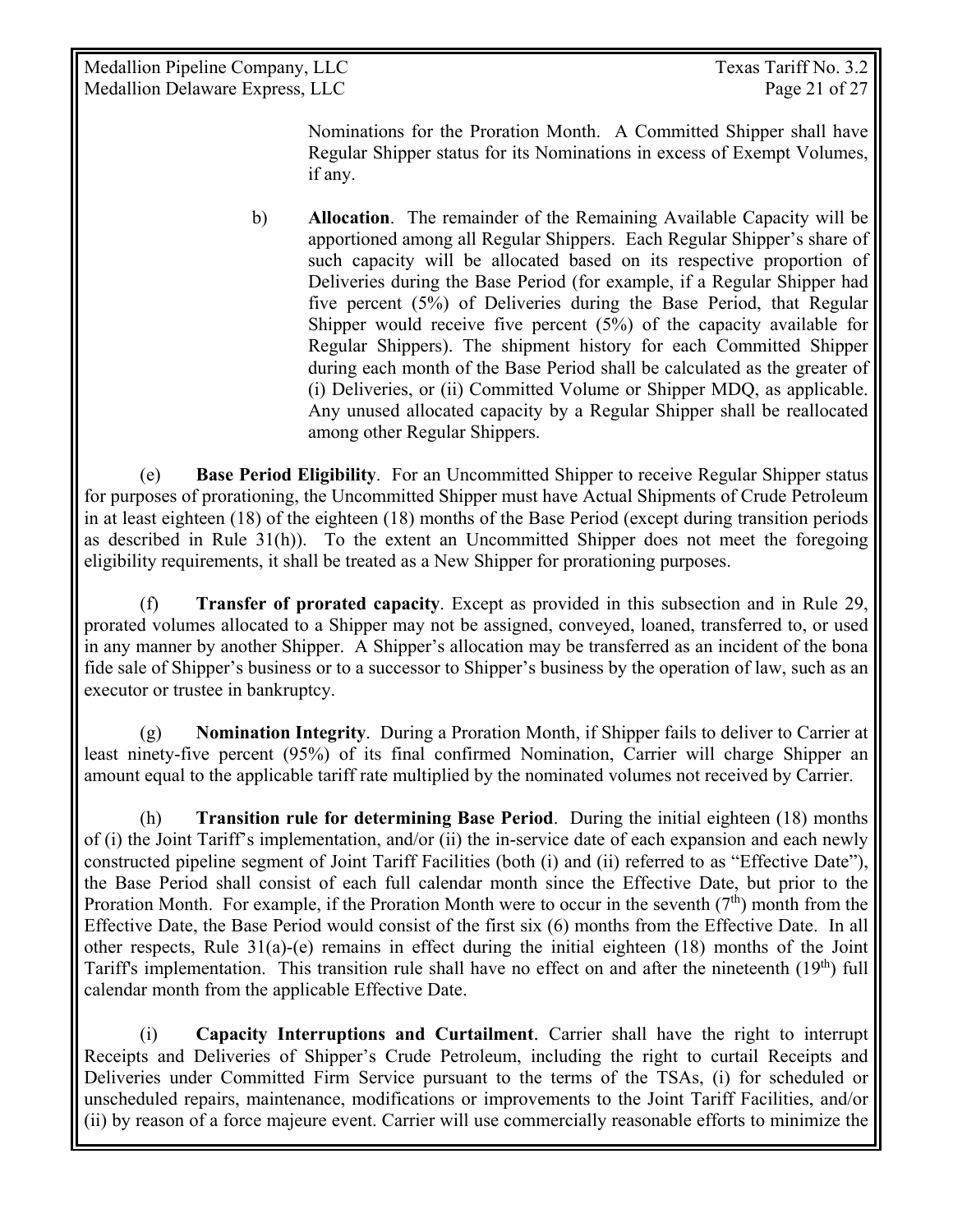Medallion Pipeline Company, LLC Texas Tariff No. 3.2 Medallion Delaware Express, LLC Page 21 of 27

Nominations for the Proration Month. A Committed Shipper shall have Regular Shipper status for its Nominations in excess of Exempt Volumes, if any.

b) **Allocation**. The remainder of the Remaining Available Capacity will be apportioned among all Regular Shippers. Each Regular Shipper's share of such capacity will be allocated based on its respective proportion of Deliveries during the Base Period (for example, if a Regular Shipper had five percent (5%) of Deliveries during the Base Period, that Regular Shipper would receive five percent  $(5%)$  of the capacity available for Regular Shippers). The shipment history for each Committed Shipper during each month of the Base Period shall be calculated as the greater of (i) Deliveries, or (ii) Committed Volume or Shipper MDQ, as applicable. Any unused allocated capacity by a Regular Shipper shall be reallocated among other Regular Shippers.

 (e) **Base Period Eligibility**. For an Uncommitted Shipper to receive Regular Shipper status for purposes of prorationing, the Uncommitted Shipper must have Actual Shipments of Crude Petroleum in at least eighteen (18) of the eighteen (18) months of the Base Period (except during transition periods as described in Rule 31(h)). To the extent an Uncommitted Shipper does not meet the foregoing eligibility requirements, it shall be treated as a New Shipper for prorationing purposes.

 (f) **Transfer of prorated capacity**. Except as provided in this subsection and in Rule 29, prorated volumes allocated to a Shipper may not be assigned, conveyed, loaned, transferred to, or used in any manner by another Shipper. A Shipper's allocation may be transferred as an incident of the bona fide sale of Shipper's business or to a successor to Shipper's business by the operation of law, such as an executor or trustee in bankruptcy.

 (g) **Nomination Integrity**. During a Proration Month, if Shipper fails to deliver to Carrier at least ninety-five percent (95%) of its final confirmed Nomination, Carrier will charge Shipper an amount equal to the applicable tariff rate multiplied by the nominated volumes not received by Carrier.

(h) **Transition rule for determining Base Period**. During the initial eighteen (18) months of (i) the Joint Tariff's implementation, and/or (ii) the in-service date of each expansion and each newly constructed pipeline segment of Joint Tariff Facilities (both (i) and (ii) referred to as "Effective Date"), the Base Period shall consist of each full calendar month since the Effective Date, but prior to the Proration Month. For example, if the Proration Month were to occur in the seventh  $(7<sup>th</sup>)$  month from the Effective Date, the Base Period would consist of the first six (6) months from the Effective Date. In all other respects, Rule  $31(a)$ -(e) remains in effect during the initial eighteen (18) months of the Joint Tariff's implementation. This transition rule shall have no effect on and after the nineteenth  $(19<sup>th</sup>)$  full calendar month from the applicable Effective Date.

(i) **Capacity Interruptions and Curtailment**. Carrier shall have the right to interrupt Receipts and Deliveries of Shipper's Crude Petroleum, including the right to curtail Receipts and Deliveries under Committed Firm Service pursuant to the terms of the TSAs, (i) for scheduled or unscheduled repairs, maintenance, modifications or improvements to the Joint Tariff Facilities, and/or (ii) by reason of a force majeure event. Carrier will use commercially reasonable efforts to minimize the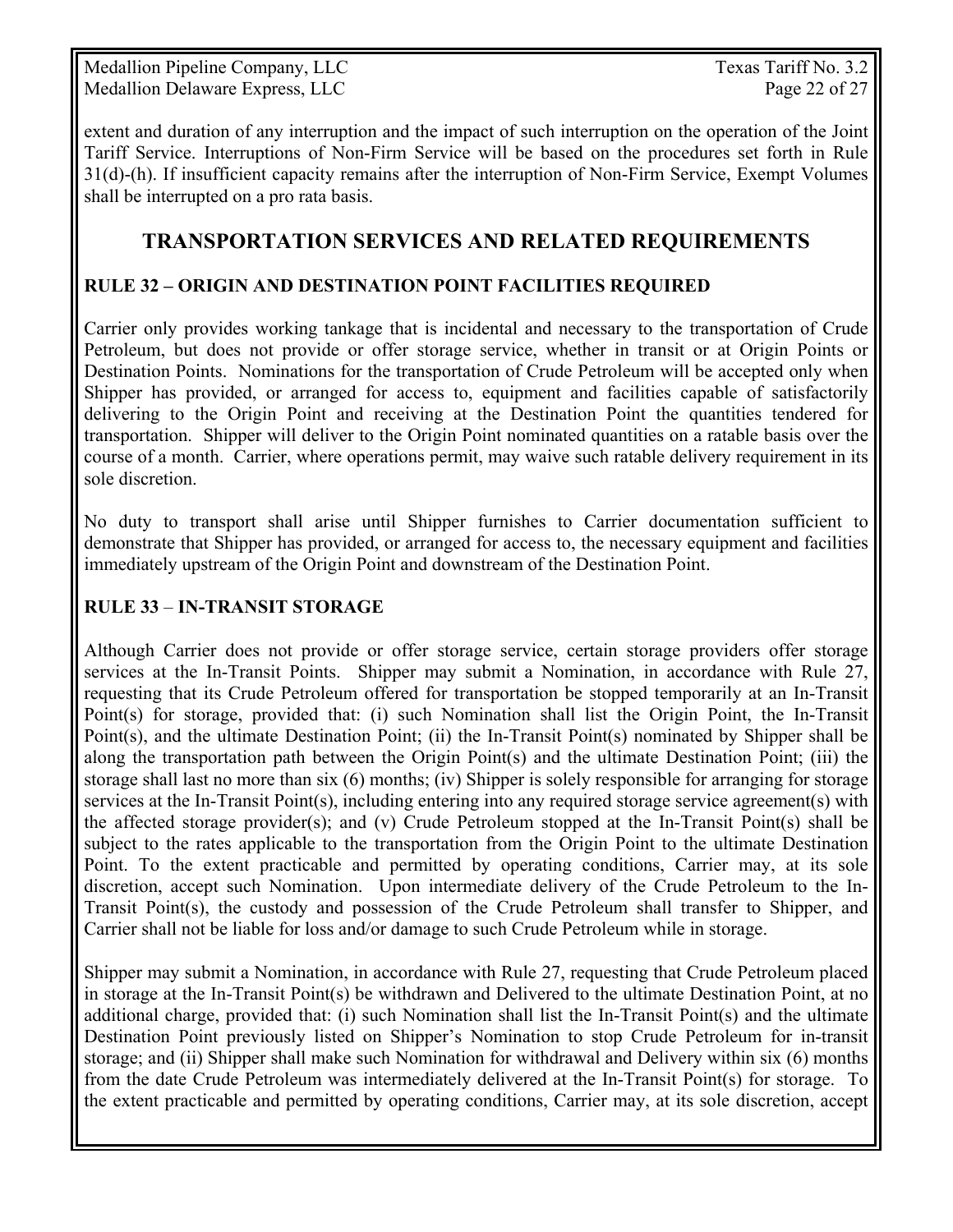Medallion Pipeline Company, LLC Texas Tariff No. 3.2 Medallion Delaware Express, LLC Page 22 of 27

extent and duration of any interruption and the impact of such interruption on the operation of the Joint Tariff Service. Interruptions of Non-Firm Service will be based on the procedures set forth in Rule 31(d)-(h). If insufficient capacity remains after the interruption of Non-Firm Service, Exempt Volumes shall be interrupted on a pro rata basis.

## **TRANSPORTATION SERVICES AND RELATED REQUIREMENTS**

#### **RULE 32 – ORIGIN AND DESTINATION POINT FACILITIES REQUIRED**

Carrier only provides working tankage that is incidental and necessary to the transportation of Crude Petroleum, but does not provide or offer storage service, whether in transit or at Origin Points or Destination Points. Nominations for the transportation of Crude Petroleum will be accepted only when Shipper has provided, or arranged for access to, equipment and facilities capable of satisfactorily delivering to the Origin Point and receiving at the Destination Point the quantities tendered for transportation. Shipper will deliver to the Origin Point nominated quantities on a ratable basis over the course of a month. Carrier, where operations permit, may waive such ratable delivery requirement in its sole discretion.

No duty to transport shall arise until Shipper furnishes to Carrier documentation sufficient to demonstrate that Shipper has provided, or arranged for access to, the necessary equipment and facilities immediately upstream of the Origin Point and downstream of the Destination Point.

#### **RULE 33** – **IN-TRANSIT STORAGE**

Although Carrier does not provide or offer storage service, certain storage providers offer storage services at the In-Transit Points. Shipper may submit a Nomination, in accordance with Rule 27, requesting that its Crude Petroleum offered for transportation be stopped temporarily at an In-Transit Point(s) for storage, provided that: (i) such Nomination shall list the Origin Point, the In-Transit Point(s), and the ultimate Destination Point; (ii) the In-Transit Point(s) nominated by Shipper shall be along the transportation path between the Origin Point(s) and the ultimate Destination Point; (iii) the storage shall last no more than six (6) months; (iv) Shipper is solely responsible for arranging for storage services at the In-Transit Point(s), including entering into any required storage service agreement(s) with the affected storage provider(s); and (v) Crude Petroleum stopped at the In-Transit Point(s) shall be subject to the rates applicable to the transportation from the Origin Point to the ultimate Destination Point. To the extent practicable and permitted by operating conditions, Carrier may, at its sole discretion, accept such Nomination. Upon intermediate delivery of the Crude Petroleum to the In-Transit Point(s), the custody and possession of the Crude Petroleum shall transfer to Shipper, and Carrier shall not be liable for loss and/or damage to such Crude Petroleum while in storage.

Shipper may submit a Nomination, in accordance with Rule 27, requesting that Crude Petroleum placed in storage at the In-Transit Point(s) be withdrawn and Delivered to the ultimate Destination Point, at no additional charge, provided that: (i) such Nomination shall list the In-Transit Point(s) and the ultimate Destination Point previously listed on Shipper's Nomination to stop Crude Petroleum for in-transit storage; and (ii) Shipper shall make such Nomination for withdrawal and Delivery within six (6) months from the date Crude Petroleum was intermediately delivered at the In-Transit Point(s) for storage. To the extent practicable and permitted by operating conditions, Carrier may, at its sole discretion, accept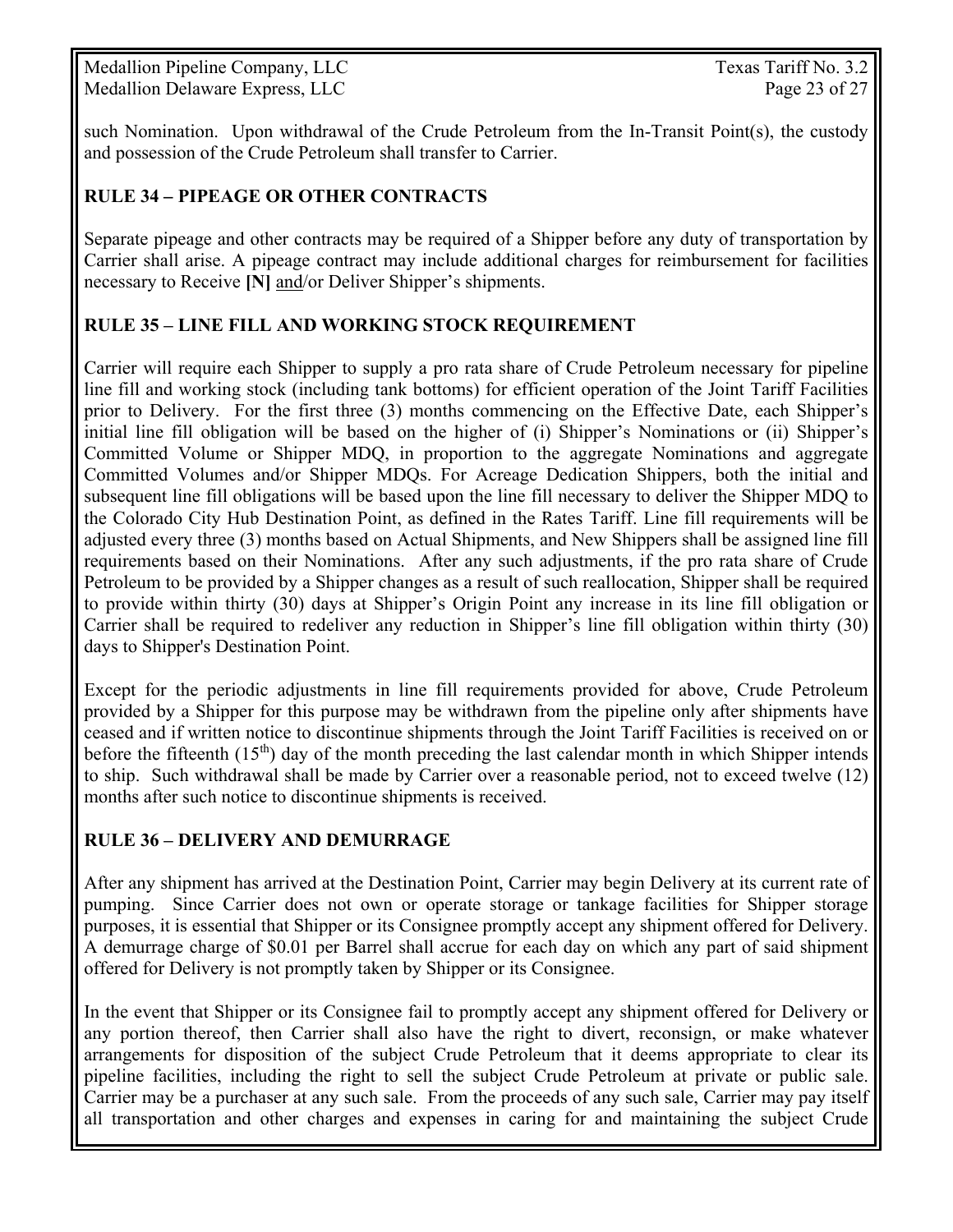Medallion Pipeline Company, LLC Texas Tariff No. 3.2 Medallion Delaware Express, LLC Page 23 of 27

such Nomination. Upon withdrawal of the Crude Petroleum from the In-Transit Point(s), the custody and possession of the Crude Petroleum shall transfer to Carrier.

#### **RULE 34** *–* **PIPEAGE OR OTHER CONTRACTS**

Separate pipeage and other contracts may be required of a Shipper before any duty of transportation by Carrier shall arise. A pipeage contract may include additional charges for reimbursement for facilities necessary to Receive **[N]** and/or Deliver Shipper's shipments.

#### **RULE 35 – LINE FILL AND WORKING STOCK REQUIREMENT**

Carrier will require each Shipper to supply a pro rata share of Crude Petroleum necessary for pipeline line fill and working stock (including tank bottoms) for efficient operation of the Joint Tariff Facilities prior to Delivery. For the first three (3) months commencing on the Effective Date, each Shipper's initial line fill obligation will be based on the higher of (i) Shipper's Nominations or (ii) Shipper's Committed Volume or Shipper MDQ, in proportion to the aggregate Nominations and aggregate Committed Volumes and/or Shipper MDQs. For Acreage Dedication Shippers, both the initial and subsequent line fill obligations will be based upon the line fill necessary to deliver the Shipper MDQ to the Colorado City Hub Destination Point, as defined in the Rates Tariff. Line fill requirements will be adjusted every three (3) months based on Actual Shipments, and New Shippers shall be assigned line fill requirements based on their Nominations. After any such adjustments, if the pro rata share of Crude Petroleum to be provided by a Shipper changes as a result of such reallocation, Shipper shall be required to provide within thirty (30) days at Shipper's Origin Point any increase in its line fill obligation or Carrier shall be required to redeliver any reduction in Shipper's line fill obligation within thirty (30) days to Shipper's Destination Point.

Except for the periodic adjustments in line fill requirements provided for above, Crude Petroleum provided by a Shipper for this purpose may be withdrawn from the pipeline only after shipments have ceased and if written notice to discontinue shipments through the Joint Tariff Facilities is received on or before the fifteenth  $(15<sup>th</sup>)$  day of the month preceding the last calendar month in which Shipper intends to ship. Such withdrawal shall be made by Carrier over a reasonable period, not to exceed twelve (12) months after such notice to discontinue shipments is received.

### **RULE 36 – DELIVERY AND DEMURRAGE**

After any shipment has arrived at the Destination Point, Carrier may begin Delivery at its current rate of pumping. Since Carrier does not own or operate storage or tankage facilities for Shipper storage purposes, it is essential that Shipper or its Consignee promptly accept any shipment offered for Delivery. A demurrage charge of \$0.01 per Barrel shall accrue for each day on which any part of said shipment offered for Delivery is not promptly taken by Shipper or its Consignee.

In the event that Shipper or its Consignee fail to promptly accept any shipment offered for Delivery or any portion thereof, then Carrier shall also have the right to divert, reconsign, or make whatever arrangements for disposition of the subject Crude Petroleum that it deems appropriate to clear its pipeline facilities, including the right to sell the subject Crude Petroleum at private or public sale. Carrier may be a purchaser at any such sale. From the proceeds of any such sale, Carrier may pay itself all transportation and other charges and expenses in caring for and maintaining the subject Crude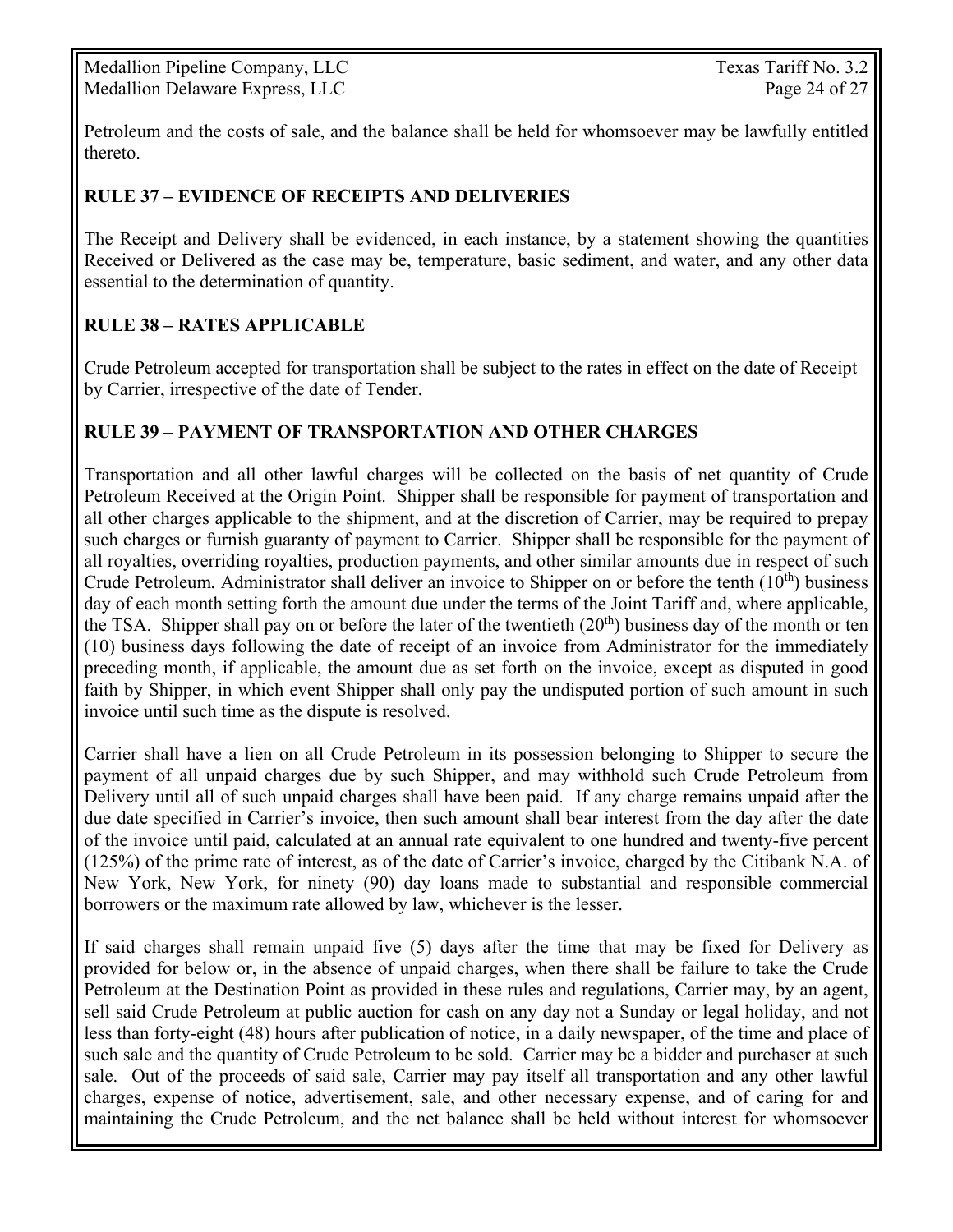Medallion Pipeline Company, LLC Texas Tariff No. 3.2 Medallion Delaware Express, LLC Page 24 of 27

Petroleum and the costs of sale, and the balance shall be held for whomsoever may be lawfully entitled thereto.

#### **RULE 37 – EVIDENCE OF RECEIPTS AND DELIVERIES**

The Receipt and Delivery shall be evidenced, in each instance, by a statement showing the quantities Received or Delivered as the case may be, temperature, basic sediment, and water, and any other data essential to the determination of quantity.

#### **RULE 38 – RATES APPLICABLE**

Crude Petroleum accepted for transportation shall be subject to the rates in effect on the date of Receipt by Carrier, irrespective of the date of Tender.

#### **RULE 39 – PAYMENT OF TRANSPORTATION AND OTHER CHARGES**

Transportation and all other lawful charges will be collected on the basis of net quantity of Crude Petroleum Received at the Origin Point. Shipper shall be responsible for payment of transportation and all other charges applicable to the shipment, and at the discretion of Carrier, may be required to prepay such charges or furnish guaranty of payment to Carrier. Shipper shall be responsible for the payment of all royalties, overriding royalties, production payments, and other similar amounts due in respect of such Crude Petroleum*.* Administrator shall deliver an invoice to Shipper on or before the tenth (10th) business day of each month setting forth the amount due under the terms of the Joint Tariff and, where applicable, the TSA. Shipper shall pay on or before the later of the twentieth  $(20<sup>th</sup>)$  business day of the month or ten (10) business days following the date of receipt of an invoice from Administrator for the immediately preceding month, if applicable, the amount due as set forth on the invoice, except as disputed in good faith by Shipper, in which event Shipper shall only pay the undisputed portion of such amount in such invoice until such time as the dispute is resolved.

Carrier shall have a lien on all Crude Petroleum in its possession belonging to Shipper to secure the payment of all unpaid charges due by such Shipper, and may withhold such Crude Petroleum from Delivery until all of such unpaid charges shall have been paid. If any charge remains unpaid after the due date specified in Carrier's invoice, then such amount shall bear interest from the day after the date of the invoice until paid, calculated at an annual rate equivalent to one hundred and twenty-five percent (125%) of the prime rate of interest, as of the date of Carrier's invoice, charged by the Citibank N.A. of New York, New York, for ninety (90) day loans made to substantial and responsible commercial borrowers or the maximum rate allowed by law, whichever is the lesser.

If said charges shall remain unpaid five (5) days after the time that may be fixed for Delivery as provided for below or, in the absence of unpaid charges, when there shall be failure to take the Crude Petroleum at the Destination Point as provided in these rules and regulations, Carrier may, by an agent, sell said Crude Petroleum at public auction for cash on any day not a Sunday or legal holiday, and not less than forty-eight (48) hours after publication of notice, in a daily newspaper, of the time and place of such sale and the quantity of Crude Petroleum to be sold. Carrier may be a bidder and purchaser at such sale. Out of the proceeds of said sale, Carrier may pay itself all transportation and any other lawful charges, expense of notice, advertisement, sale, and other necessary expense, and of caring for and maintaining the Crude Petroleum, and the net balance shall be held without interest for whomsoever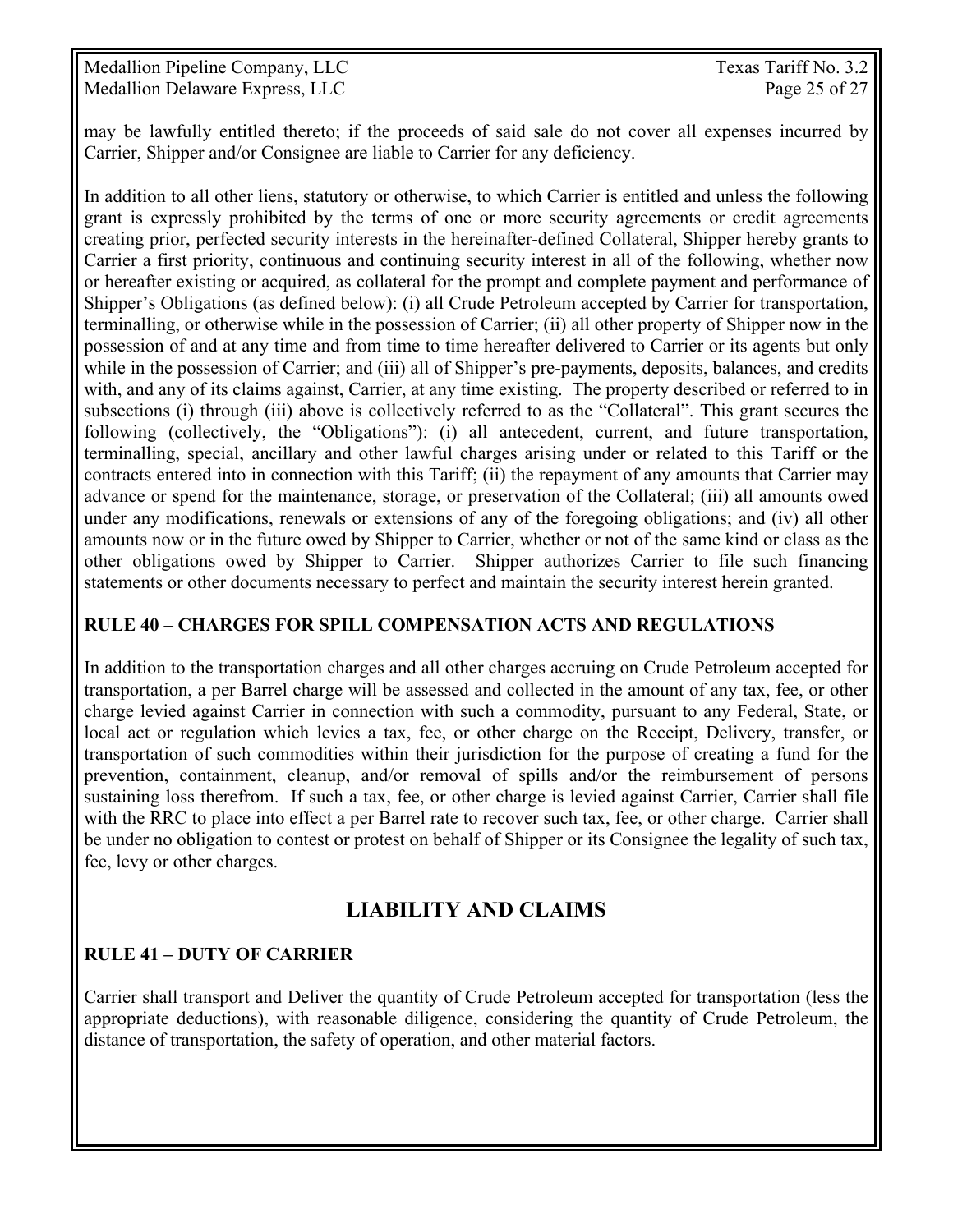Medallion Pipeline Company, LLC Texas Tariff No. 3.2 Medallion Delaware Express, LLC Page 25 of 27

may be lawfully entitled thereto; if the proceeds of said sale do not cover all expenses incurred by Carrier, Shipper and/or Consignee are liable to Carrier for any deficiency.

In addition to all other liens, statutory or otherwise, to which Carrier is entitled and unless the following grant is expressly prohibited by the terms of one or more security agreements or credit agreements creating prior, perfected security interests in the hereinafter-defined Collateral, Shipper hereby grants to Carrier a first priority, continuous and continuing security interest in all of the following, whether now or hereafter existing or acquired, as collateral for the prompt and complete payment and performance of Shipper's Obligations (as defined below): (i) all Crude Petroleum accepted by Carrier for transportation, terminalling, or otherwise while in the possession of Carrier; (ii) all other property of Shipper now in the possession of and at any time and from time to time hereafter delivered to Carrier or its agents but only while in the possession of Carrier; and (iii) all of Shipper's pre-payments, deposits, balances, and credits with, and any of its claims against, Carrier, at any time existing. The property described or referred to in subsections (i) through (iii) above is collectively referred to as the "Collateral". This grant secures the following (collectively, the "Obligations"): (i) all antecedent, current, and future transportation, terminalling, special, ancillary and other lawful charges arising under or related to this Tariff or the contracts entered into in connection with this Tariff; (ii) the repayment of any amounts that Carrier may advance or spend for the maintenance, storage, or preservation of the Collateral; (iii) all amounts owed under any modifications, renewals or extensions of any of the foregoing obligations; and (iv) all other amounts now or in the future owed by Shipper to Carrier, whether or not of the same kind or class as the other obligations owed by Shipper to Carrier. Shipper authorizes Carrier to file such financing statements or other documents necessary to perfect and maintain the security interest herein granted.

#### **RULE 40 – CHARGES FOR SPILL COMPENSATION ACTS AND REGULATIONS**

In addition to the transportation charges and all other charges accruing on Crude Petroleum accepted for transportation, a per Barrel charge will be assessed and collected in the amount of any tax, fee, or other charge levied against Carrier in connection with such a commodity, pursuant to any Federal, State, or local act or regulation which levies a tax, fee, or other charge on the Receipt, Delivery, transfer, or transportation of such commodities within their jurisdiction for the purpose of creating a fund for the prevention, containment, cleanup, and/or removal of spills and/or the reimbursement of persons sustaining loss therefrom. If such a tax, fee, or other charge is levied against Carrier, Carrier shall file with the RRC to place into effect a per Barrel rate to recover such tax, fee, or other charge. Carrier shall be under no obligation to contest or protest on behalf of Shipper or its Consignee the legality of such tax, fee, levy or other charges.

## **LIABILITY AND CLAIMS**

#### **RULE 41 – DUTY OF CARRIER**

Carrier shall transport and Deliver the quantity of Crude Petroleum accepted for transportation (less the appropriate deductions), with reasonable diligence, considering the quantity of Crude Petroleum, the distance of transportation, the safety of operation, and other material factors.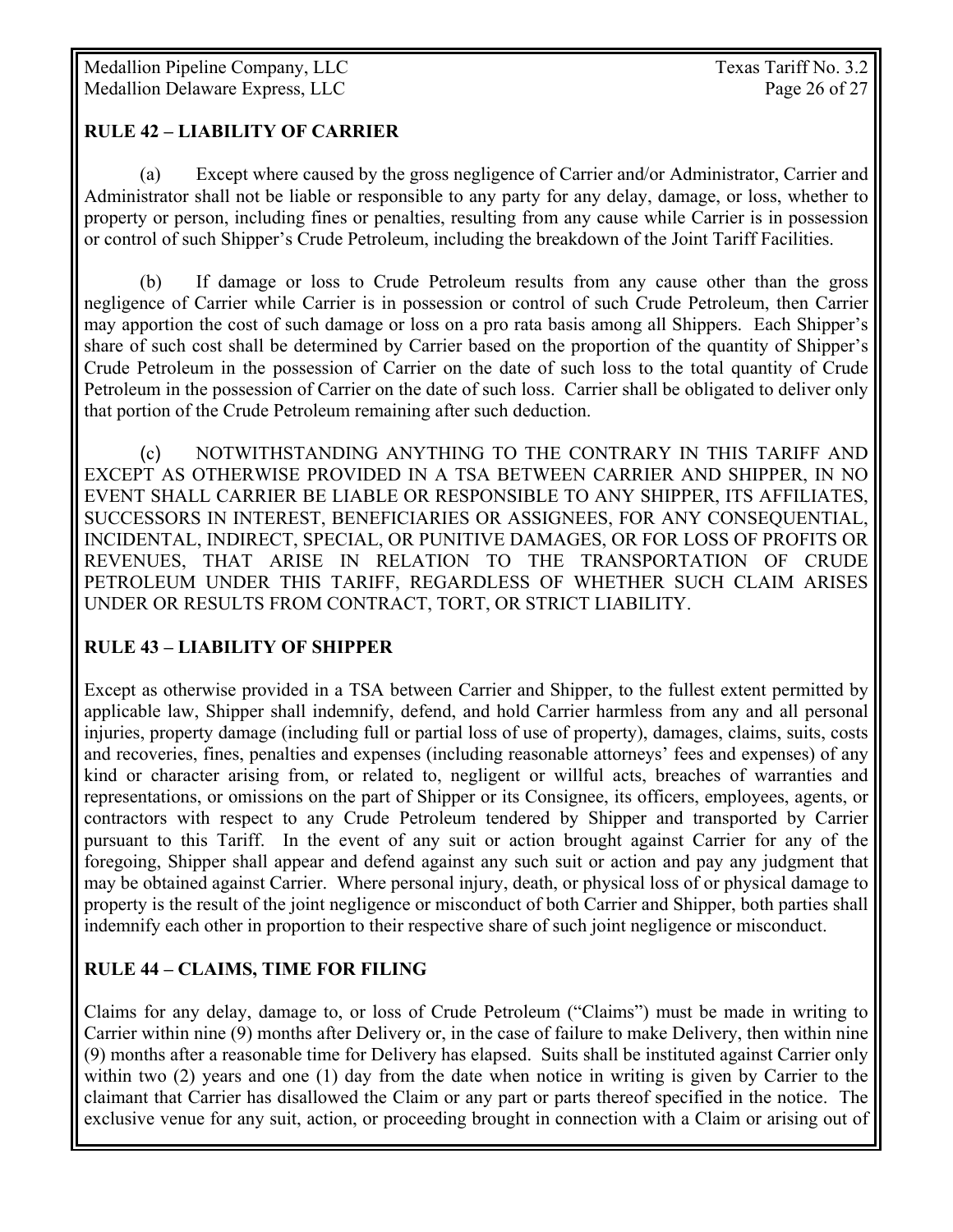#### **RULE 42 – LIABILITY OF CARRIER**

 (a) Except where caused by the gross negligence of Carrier and/or Administrator, Carrier and Administrator shall not be liable or responsible to any party for any delay, damage, or loss, whether to property or person, including fines or penalties, resulting from any cause while Carrier is in possession or control of such Shipper's Crude Petroleum, including the breakdown of the Joint Tariff Facilities.

 (b) If damage or loss to Crude Petroleum results from any cause other than the gross negligence of Carrier while Carrier is in possession or control of such Crude Petroleum, then Carrier may apportion the cost of such damage or loss on a pro rata basis among all Shippers. Each Shipper's share of such cost shall be determined by Carrier based on the proportion of the quantity of Shipper's Crude Petroleum in the possession of Carrier on the date of such loss to the total quantity of Crude Petroleum in the possession of Carrier on the date of such loss. Carrier shall be obligated to deliver only that portion of the Crude Petroleum remaining after such deduction.

 (c) NOTWITHSTANDING ANYTHING TO THE CONTRARY IN THIS TARIFF AND EXCEPT AS OTHERWISE PROVIDED IN A TSA BETWEEN CARRIER AND SHIPPER, IN NO EVENT SHALL CARRIER BE LIABLE OR RESPONSIBLE TO ANY SHIPPER, ITS AFFILIATES, SUCCESSORS IN INTEREST, BENEFICIARIES OR ASSIGNEES, FOR ANY CONSEQUENTIAL, INCIDENTAL, INDIRECT, SPECIAL, OR PUNITIVE DAMAGES, OR FOR LOSS OF PROFITS OR REVENUES, THAT ARISE IN RELATION TO THE TRANSPORTATION OF CRUDE PETROLEUM UNDER THIS TARIFF, REGARDLESS OF WHETHER SUCH CLAIM ARISES UNDER OR RESULTS FROM CONTRACT, TORT, OR STRICT LIABILITY.

#### **RULE 43 – LIABILITY OF SHIPPER**

Except as otherwise provided in a TSA between Carrier and Shipper, to the fullest extent permitted by applicable law, Shipper shall indemnify, defend, and hold Carrier harmless from any and all personal injuries, property damage (including full or partial loss of use of property), damages, claims, suits, costs and recoveries, fines, penalties and expenses (including reasonable attorneys' fees and expenses) of any kind or character arising from, or related to, negligent or willful acts, breaches of warranties and representations, or omissions on the part of Shipper or its Consignee, its officers, employees, agents, or contractors with respect to any Crude Petroleum tendered by Shipper and transported by Carrier pursuant to this Tariff. In the event of any suit or action brought against Carrier for any of the foregoing, Shipper shall appear and defend against any such suit or action and pay any judgment that may be obtained against Carrier. Where personal injury, death, or physical loss of or physical damage to property is the result of the joint negligence or misconduct of both Carrier and Shipper, both parties shall indemnify each other in proportion to their respective share of such joint negligence or misconduct.

### **RULE 44 – CLAIMS, TIME FOR FILING**

Claims for any delay, damage to, or loss of Crude Petroleum ("Claims") must be made in writing to Carrier within nine (9) months after Delivery or, in the case of failure to make Delivery, then within nine (9) months after a reasonable time for Delivery has elapsed. Suits shall be instituted against Carrier only within two (2) years and one (1) day from the date when notice in writing is given by Carrier to the claimant that Carrier has disallowed the Claim or any part or parts thereof specified in the notice. The exclusive venue for any suit, action, or proceeding brought in connection with a Claim or arising out of